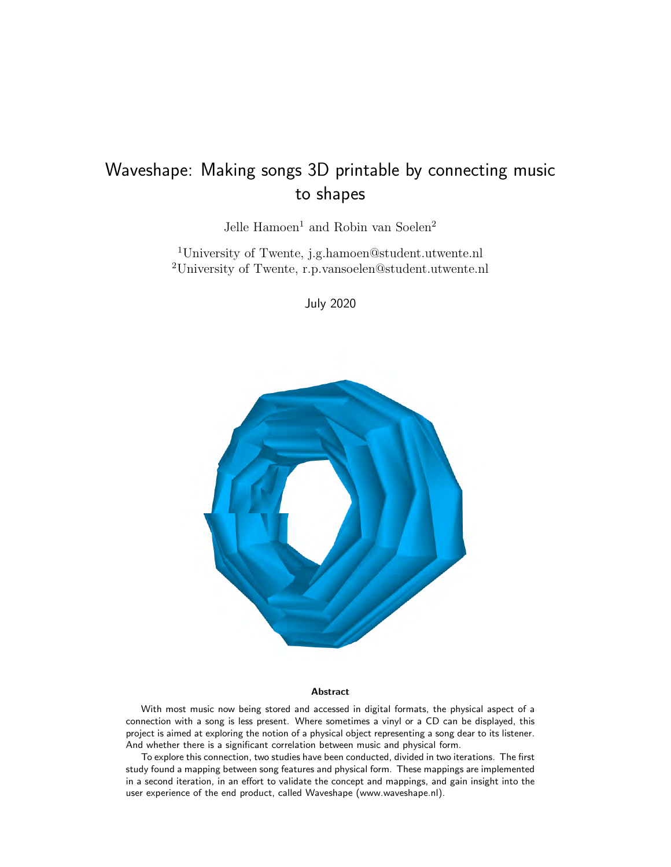# Waveshape: Making songs 3D printable by connecting music to shapes

Jelle  $\mbox{Hamoen}^1$  and Robin van Soelen^2

<sup>1</sup>University of Twente, j.g.hamoen@student.utwente.nl <sup>2</sup>University of Twente, r.p.vansoelen@student.utwente.nl

July 2020



#### Abstract

With most music now being stored and accessed in digital formats, the physical aspect of a connection with a song is less present. Where sometimes a vinyl or a CD can be displayed, this project is aimed at exploring the notion of a physical object representing a song dear to its listener. And whether there is a significant correlation between music and physical form.

To explore this connection, two studies have been conducted, divided in two iterations. The first study found a mapping between song features and physical form. These mappings are implemented in a second iteration, in an effort to validate the concept and mappings, and gain insight into the user experience of the end product, called Waveshape (www.waveshape.nl).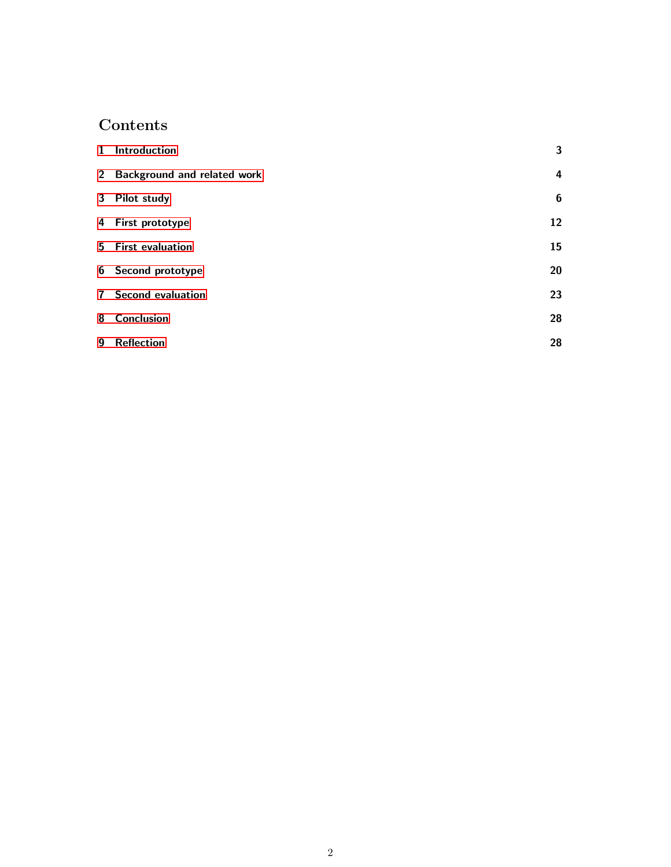# Contents

|   | 1 Introduction                | 3                |
|---|-------------------------------|------------------|
|   | 2 Background and related work | 4                |
|   | 3 Pilot study                 | $\boldsymbol{6}$ |
|   | 4 First prototype             | 12               |
|   | 5 First evaluation            | 15               |
|   | 6 Second prototype            | 20               |
|   | <b>7</b> Second evaluation    | 23               |
| 8 | Conclusion                    | 28               |
| 9 | <b>Reflection</b>             | 28               |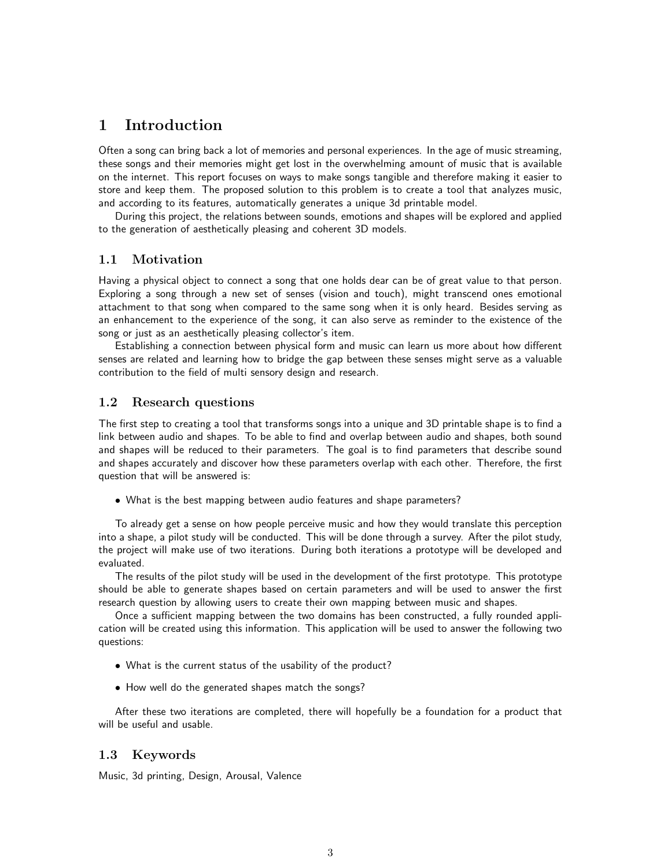# <span id="page-2-0"></span>1 Introduction

Often a song can bring back a lot of memories and personal experiences. In the age of music streaming, these songs and their memories might get lost in the overwhelming amount of music that is available on the internet. This report focuses on ways to make songs tangible and therefore making it easier to store and keep them. The proposed solution to this problem is to create a tool that analyzes music, and according to its features, automatically generates a unique 3d printable model.

During this project, the relations between sounds, emotions and shapes will be explored and applied to the generation of aesthetically pleasing and coherent 3D models.

## 1.1 Motivation

Having a physical object to connect a song that one holds dear can be of great value to that person. Exploring a song through a new set of senses (vision and touch), might transcend ones emotional attachment to that song when compared to the same song when it is only heard. Besides serving as an enhancement to the experience of the song, it can also serve as reminder to the existence of the song or just as an aesthetically pleasing collector's item.

Establishing a connection between physical form and music can learn us more about how different senses are related and learning how to bridge the gap between these senses might serve as a valuable contribution to the field of multi sensory design and research.

## 1.2 Research questions

The first step to creating a tool that transforms songs into a unique and 3D printable shape is to find a link between audio and shapes. To be able to find and overlap between audio and shapes, both sound and shapes will be reduced to their parameters. The goal is to find parameters that describe sound and shapes accurately and discover how these parameters overlap with each other. Therefore, the first question that will be answered is:

• What is the best mapping between audio features and shape parameters?

To already get a sense on how people perceive music and how they would translate this perception into a shape, a pilot study will be conducted. This will be done through a survey. After the pilot study, the project will make use of two iterations. During both iterations a prototype will be developed and evaluated.

The results of the pilot study will be used in the development of the first prototype. This prototype should be able to generate shapes based on certain parameters and will be used to answer the first research question by allowing users to create their own mapping between music and shapes.

Once a sufficient mapping between the two domains has been constructed, a fully rounded application will be created using this information. This application will be used to answer the following two questions:

- What is the current status of the usability of the product?
- How well do the generated shapes match the songs?

After these two iterations are completed, there will hopefully be a foundation for a product that will be useful and usable.

### 1.3 Keywords

Music, 3d printing, Design, Arousal, Valence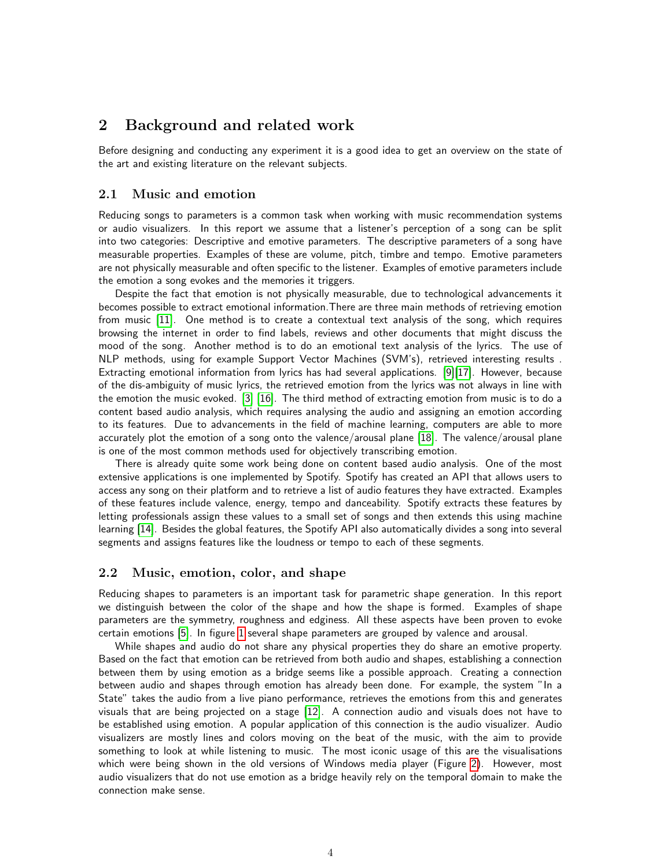# <span id="page-3-0"></span>2 Background and related work

Before designing and conducting any experiment it is a good idea to get an overview on the state of the art and existing literature on the relevant subjects.

#### 2.1 Music and emotion

Reducing songs to parameters is a common task when working with music recommendation systems or audio visualizers. In this report we assume that a listener's perception of a song can be split into two categories: Descriptive and emotive parameters. The descriptive parameters of a song have measurable properties. Examples of these are volume, pitch, timbre and tempo. Emotive parameters are not physically measurable and often specific to the listener. Examples of emotive parameters include the emotion a song evokes and the memories it triggers.

Despite the fact that emotion is not physically measurable, due to technological advancements it becomes possible to extract emotional information.There are three main methods of retrieving emotion from music [\[11\]](#page-29-0). One method is to create a contextual text analysis of the song, which requires browsing the internet in order to find labels, reviews and other documents that might discuss the mood of the song. Another method is to do an emotional text analysis of the lyrics. The use of NLP methods, using for example Support Vector Machines (SVM's), retrieved interesting results . Extracting emotional information from lyrics has had several applications. [\[9\]](#page-29-1)[\[17\]](#page-29-2). However, because of the dis-ambiguity of music lyrics, the retrieved emotion from the lyrics was not always in line with the emotion the music evoked. [\[3\]](#page-29-3) [\[16\]](#page-29-4). The third method of extracting emotion from music is to do a content based audio analysis, which requires analysing the audio and assigning an emotion according to its features. Due to advancements in the field of machine learning, computers are able to more accurately plot the emotion of a song onto the valence/arousal plane [\[18\]](#page-29-5). The valence/arousal plane is one of the most common methods used for objectively transcribing emotion.

There is already quite some work being done on content based audio analysis. One of the most extensive applications is one implemented by Spotify. Spotify has created an API that allows users to access any song on their platform and to retrieve a list of audio features they have extracted. Examples of these features include valence, energy, tempo and danceability. Spotify extracts these features by letting professionals assign these values to a small set of songs and then extends this using machine learning [\[14\]](#page-29-6). Besides the global features, the Spotify API also automatically divides a song into several segments and assigns features like the loudness or tempo to each of these segments.

## 2.2 Music, emotion, color, and shape

Reducing shapes to parameters is an important task for parametric shape generation. In this report we distinguish between the color of the shape and how the shape is formed. Examples of shape parameters are the symmetry, roughness and edginess. All these aspects have been proven to evoke certain emotions [\[5\]](#page-29-7). In figure [1](#page-4-0) several shape parameters are grouped by valence and arousal.

While shapes and audio do not share any physical properties they do share an emotive property. Based on the fact that emotion can be retrieved from both audio and shapes, establishing a connection between them by using emotion as a bridge seems like a possible approach. Creating a connection between audio and shapes through emotion has already been done. For example, the system "In a State" takes the audio from a live piano performance, retrieves the emotions from this and generates visuals that are being projected on a stage [\[12\]](#page-29-8). A connection audio and visuals does not have to be established using emotion. A popular application of this connection is the audio visualizer. Audio visualizers are mostly lines and colors moving on the beat of the music, with the aim to provide something to look at while listening to music. The most iconic usage of this are the visualisations which were being shown in the old versions of Windows media player (Figure [2\)](#page-4-1). However, most audio visualizers that do not use emotion as a bridge heavily rely on the temporal domain to make the connection make sense.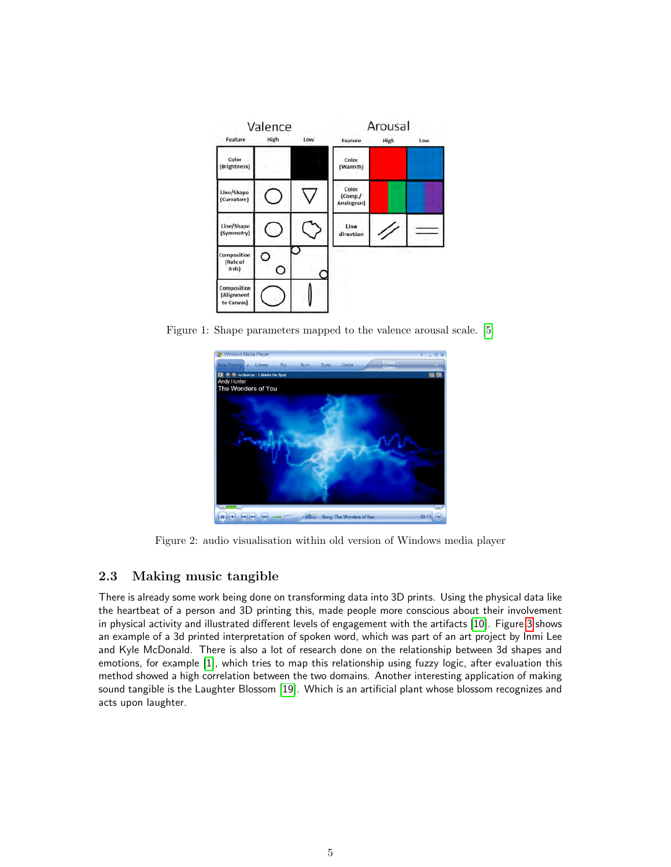<span id="page-4-0"></span>

<span id="page-4-1"></span>Figure 1: Shape parameters mapped to the valence arousal scale. [\[5\]](#page-29-7)



Figure 2: audio visualisation within old version of Windows media player

# 2.3 Making music tangible

There is already some work being done on transforming data into 3D prints. Using the physical data like the heartbeat of a person and 3D printing this, made people more conscious about their involvement in physical activity and illustrated different levels of engagement with the artifacts [\[10\]](#page-29-9). Figure [3](#page-5-1) shows an example of a 3d printed interpretation of spoken word, which was part of an art project by Inmi Lee and Kyle McDonald. There is also a lot of research done on the relationship between 3d shapes and emotions, for example [\[1\]](#page-29-10), which tries to map this relationship using fuzzy logic, after evaluation this method showed a high correlation between the two domains. Another interesting application of making sound tangible is the Laughter Blossom [\[19\]](#page-30-0). Which is an artificial plant whose blossom recognizes and acts upon laughter.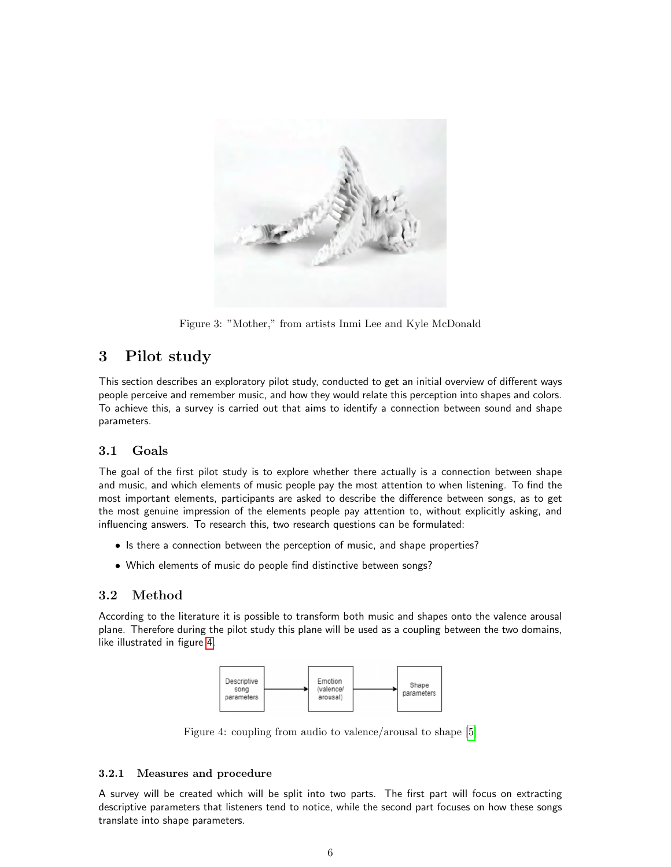<span id="page-5-1"></span>

Figure 3: "Mother," from artists Inmi Lee and Kyle McDonald

# <span id="page-5-0"></span>3 Pilot study

This section describes an exploratory pilot study, conducted to get an initial overview of different ways people perceive and remember music, and how they would relate this perception into shapes and colors. To achieve this, a survey is carried out that aims to identify a connection between sound and shape parameters.

# 3.1 Goals

The goal of the first pilot study is to explore whether there actually is a connection between shape and music, and which elements of music people pay the most attention to when listening. To find the most important elements, participants are asked to describe the difference between songs, as to get the most genuine impression of the elements people pay attention to, without explicitly asking, and influencing answers. To research this, two research questions can be formulated:

- Is there a connection between the perception of music, and shape properties?
- Which elements of music do people find distinctive between songs?

# 3.2 Method

<span id="page-5-2"></span>According to the literature it is possible to transform both music and shapes onto the valence arousal plane. Therefore during the pilot study this plane will be used as a coupling between the two domains, like illustrated in figure [4.](#page-5-2)



Figure 4: coupling from audio to valence/arousal to shape [\[5\]](#page-29-7)

## 3.2.1 Measures and procedure

A survey will be created which will be split into two parts. The first part will focus on extracting descriptive parameters that listeners tend to notice, while the second part focuses on how these songs translate into shape parameters.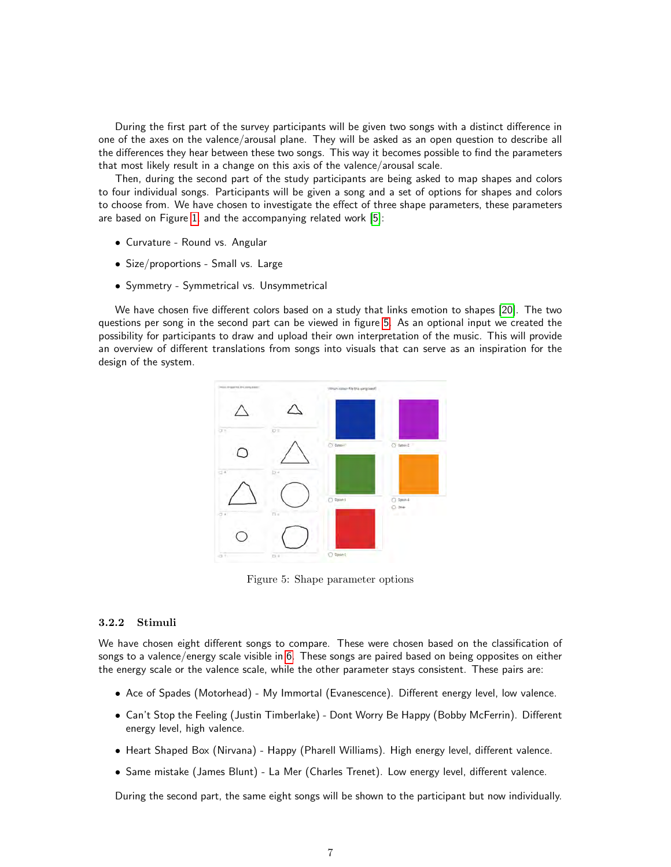During the first part of the survey participants will be given two songs with a distinct difference in one of the axes on the valence/arousal plane. They will be asked as an open question to describe all the differences they hear between these two songs. This way it becomes possible to find the parameters that most likely result in a change on this axis of the valence/arousal scale.

Then, during the second part of the study participants are being asked to map shapes and colors to four individual songs. Participants will be given a song and a set of options for shapes and colors to choose from. We have chosen to investigate the effect of three shape parameters, these parameters are based on Figure [1,](#page-4-0) and the accompanying related work [\[5\]](#page-29-7):

- Curvature Round vs. Angular
- Size/proportions Small vs. Large
- Symmetry Symmetrical vs. Unsymmetrical

<span id="page-6-0"></span>We have chosen five different colors based on a study that links emotion to shapes [\[20\]](#page-30-1). The two questions per song in the second part can be viewed in figure [5.](#page-6-0) As an optional input we created the possibility for participants to draw and upload their own interpretation of the music. This will provide an overview of different translations from songs into visuals that can serve as an inspiration for the design of the system.



Figure 5: Shape parameter options

#### 3.2.2 Stimuli

We have chosen eight different songs to compare. These were chosen based on the classification of songs to a valence/energy scale visible in [6.](#page-7-0) These songs are paired based on being opposites on either the energy scale or the valence scale, while the other parameter stays consistent. These pairs are:

- Ace of Spades (Motorhead) My Immortal (Evanescence). Different energy level, low valence.
- Can't Stop the Feeling (Justin Timberlake) Dont Worry Be Happy (Bobby McFerrin). Different energy level, high valence.
- Heart Shaped Box (Nirvana) Happy (Pharell Williams). High energy level, different valence.
- Same mistake (James Blunt) La Mer (Charles Trenet). Low energy level, different valence.

During the second part, the same eight songs will be shown to the participant but now individually.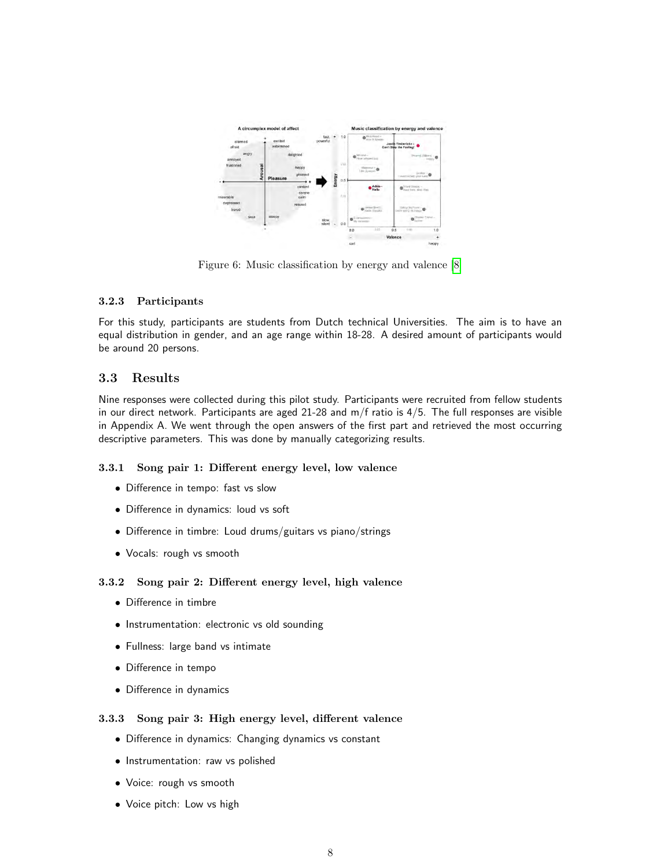<span id="page-7-0"></span>

Figure 6: Music classification by energy and valence [\[8\]](#page-29-11)

## 3.2.3 Participants

For this study, participants are students from Dutch technical Universities. The aim is to have an equal distribution in gender, and an age range within 18-28. A desired amount of participants would be around 20 persons.

## 3.3 Results

Nine responses were collected during this pilot study. Participants were recruited from fellow students in our direct network. Participants are aged 21-28 and m/f ratio is 4/5. The full responses are visible in Appendix A. We went through the open answers of the first part and retrieved the most occurring descriptive parameters. This was done by manually categorizing results.

### 3.3.1 Song pair 1: Different energy level, low valence

- Difference in tempo: fast vs slow
- Difference in dynamics: loud vs soft
- Difference in timbre: Loud drums/guitars vs piano/strings
- Vocals: rough vs smooth

## 3.3.2 Song pair 2: Different energy level, high valence

- Difference in timbre
- Instrumentation: electronic vs old sounding
- Fullness: large band vs intimate
- Difference in tempo
- Difference in dynamics

### 3.3.3 Song pair 3: High energy level, different valence

- Difference in dynamics: Changing dynamics vs constant
- Instrumentation: raw vs polished
- Voice: rough vs smooth
- Voice pitch: Low vs high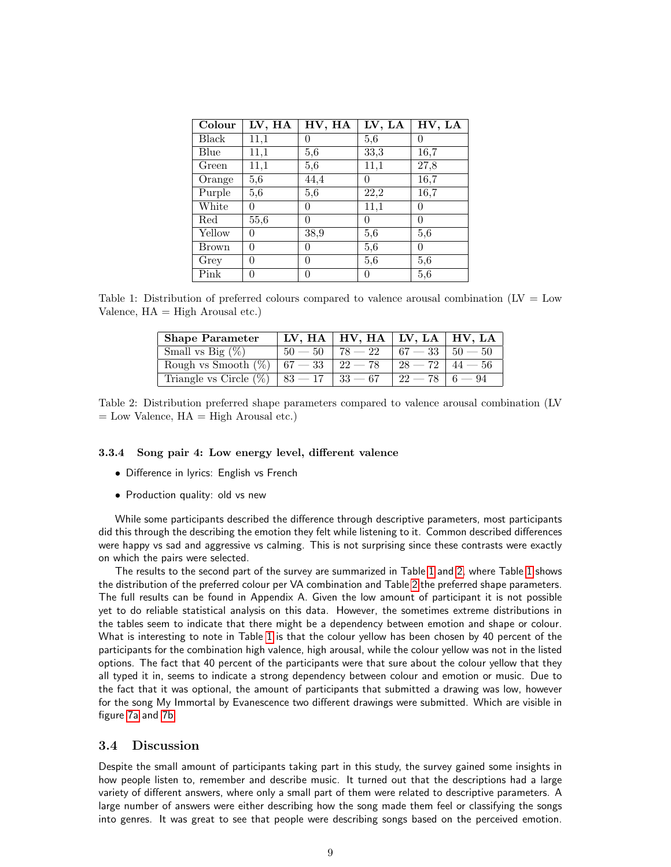<span id="page-8-0"></span>

| Colour       | LV, HA | HV, HA   | LV, LA   | HV, LA |
|--------------|--------|----------|----------|--------|
| <b>Black</b> | 11,1   | 0        | 5,6      | 0      |
| Blue         | 11,1   | 5,6      | 33,3     | 16,7   |
| Green        | 11,1   | 5,6      | 11,1     | 27,8   |
| Orange       | 5,6    | 44,4     |          | 16,7   |
| Purple       | 5,6    | 5,6      | 22,2     | 16,7   |
| White        | 0      | $\Omega$ | 11,1     | 0      |
| Red          | 55,6   | 0        | $\Omega$ | 0      |
| Yellow       | 0      | 38,9     | 5,6      | 5,6    |
| <b>Brown</b> | 0      | $\theta$ | 5,6      | 0      |
| Grey         | 0      | $\theta$ | 5,6      | 5,6    |
| Pink         | 0      | 0        |          | 5,6    |

<span id="page-8-1"></span>Table 1: Distribution of preferred colours compared to valence arousal combination (LV = Low Valence,  $HA = High Arousal etc.$ 

| <b>Shape Parameter</b>                        |                   | $\mid$ LV, HA $\mid$ HV, HA $\mid$ LV, LA $\mid$ HV, LA |           |           |
|-----------------------------------------------|-------------------|---------------------------------------------------------|-----------|-----------|
| Small vs Big $(\%)$                           | $50 - 50$         | $78 - 22$                                               | $67 - 33$ | $50 - 50$ |
| Rough vs Smooth $(\%)$                        | $67-33$   $22-78$ |                                                         |           |           |
| Triangle vs Circle $(\%)$   83 - 17   33 - 67 |                   |                                                         | $22-78$   | $-94$     |

Table 2: Distribution preferred shape parameters compared to valence arousal combination (LV  $=$  Low Valence,  $HA = High$  Arousal etc.)

#### 3.3.4 Song pair 4: Low energy level, different valence

- Difference in lyrics: English vs French
- Production quality: old vs new

While some participants described the difference through descriptive parameters, most participants did this through the describing the emotion they felt while listening to it. Common described differences were happy vs sad and aggressive vs calming. This is not surprising since these contrasts were exactly on which the pairs were selected.

The results to the second part of the survey are summarized in Table [1](#page-8-0) and [2,](#page-8-1) where Table [1](#page-8-0) shows the distribution of the preferred colour per VA combination and Table [2](#page-8-1) the preferred shape parameters. The full results can be found in Appendix A. Given the low amount of participant it is not possible yet to do reliable statistical analysis on this data. However, the sometimes extreme distributions in the tables seem to indicate that there might be a dependency between emotion and shape or colour. What is interesting to note in Table [1](#page-8-0) is that the colour yellow has been chosen by 40 percent of the participants for the combination high valence, high arousal, while the colour yellow was not in the listed options. The fact that 40 percent of the participants were that sure about the colour yellow that they all typed it in, seems to indicate a strong dependency between colour and emotion or music. Due to the fact that it was optional, the amount of participants that submitted a drawing was low, however for the song My Immortal by Evanescence two different drawings were submitted. Which are visible in figure [7a](#page-9-0) and [7b.](#page-9-1)

#### 3.4 Discussion

Despite the small amount of participants taking part in this study, the survey gained some insights in how people listen to, remember and describe music. It turned out that the descriptions had a large variety of different answers, where only a small part of them were related to descriptive parameters. A large number of answers were either describing how the song made them feel or classifying the songs into genres. It was great to see that people were describing songs based on the perceived emotion.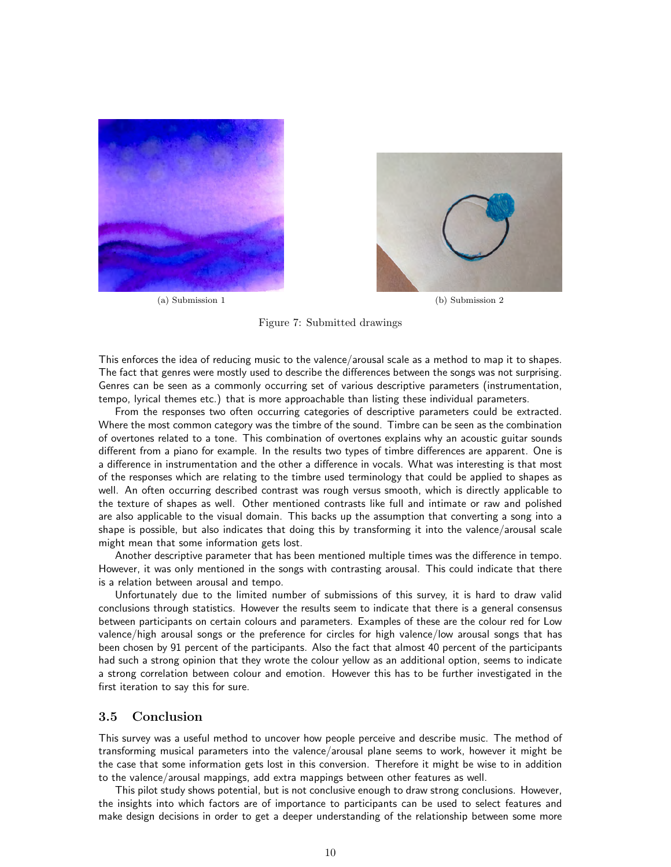<span id="page-9-0"></span>

(a) Submission 1 (b) Submission 2



#### <span id="page-9-1"></span>Figure 7: Submitted drawings

This enforces the idea of reducing music to the valence/arousal scale as a method to map it to shapes. The fact that genres were mostly used to describe the differences between the songs was not surprising. Genres can be seen as a commonly occurring set of various descriptive parameters (instrumentation, tempo, lyrical themes etc.) that is more approachable than listing these individual parameters.

From the responses two often occurring categories of descriptive parameters could be extracted. Where the most common category was the timbre of the sound. Timbre can be seen as the combination of overtones related to a tone. This combination of overtones explains why an acoustic guitar sounds different from a piano for example. In the results two types of timbre differences are apparent. One is a difference in instrumentation and the other a difference in vocals. What was interesting is that most of the responses which are relating to the timbre used terminology that could be applied to shapes as well. An often occurring described contrast was rough versus smooth, which is directly applicable to the texture of shapes as well. Other mentioned contrasts like full and intimate or raw and polished are also applicable to the visual domain. This backs up the assumption that converting a song into a shape is possible, but also indicates that doing this by transforming it into the valence/arousal scale might mean that some information gets lost.

Another descriptive parameter that has been mentioned multiple times was the difference in tempo. However, it was only mentioned in the songs with contrasting arousal. This could indicate that there is a relation between arousal and tempo.

Unfortunately due to the limited number of submissions of this survey, it is hard to draw valid conclusions through statistics. However the results seem to indicate that there is a general consensus between participants on certain colours and parameters. Examples of these are the colour red for Low valence/high arousal songs or the preference for circles for high valence/low arousal songs that has been chosen by 91 percent of the participants. Also the fact that almost 40 percent of the participants had such a strong opinion that they wrote the colour yellow as an additional option, seems to indicate a strong correlation between colour and emotion. However this has to be further investigated in the first iteration to say this for sure.

## 3.5 Conclusion

This survey was a useful method to uncover how people perceive and describe music. The method of transforming musical parameters into the valence/arousal plane seems to work, however it might be the case that some information gets lost in this conversion. Therefore it might be wise to in addition to the valence/arousal mappings, add extra mappings between other features as well.

This pilot study shows potential, but is not conclusive enough to draw strong conclusions. However, the insights into which factors are of importance to participants can be used to select features and make design decisions in order to get a deeper understanding of the relationship between some more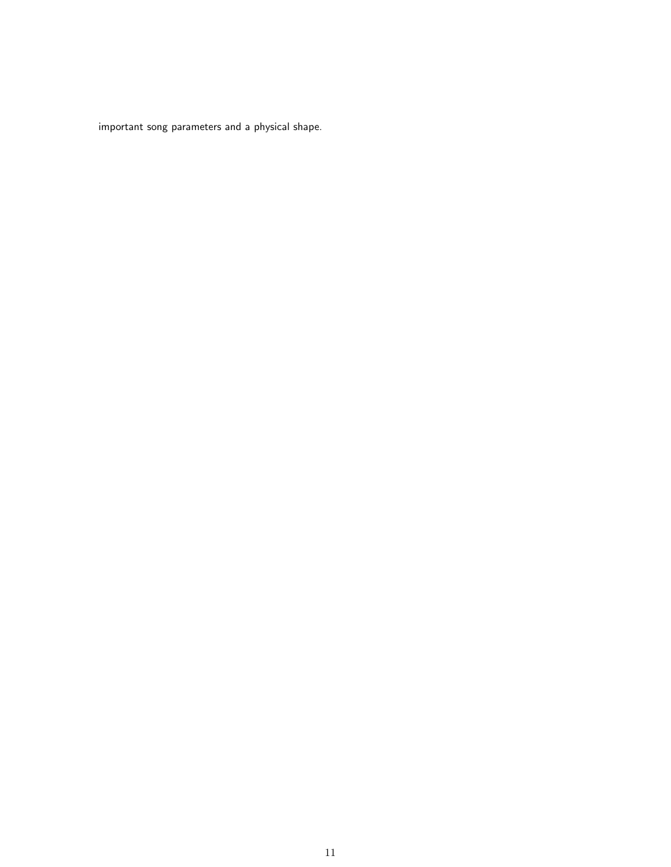important song parameters and a physical shape.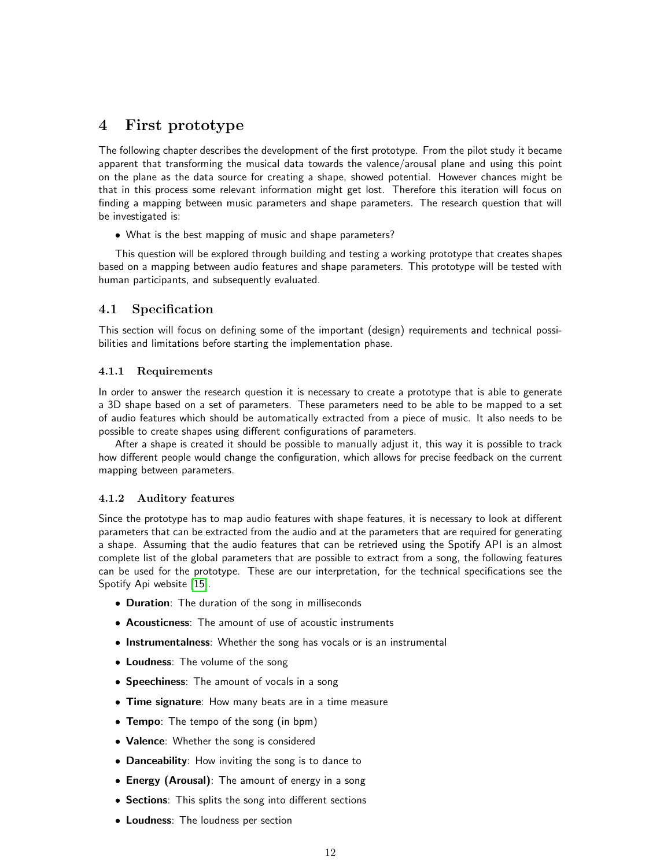# <span id="page-11-0"></span>4 First prototype

The following chapter describes the development of the first prototype. From the pilot study it became apparent that transforming the musical data towards the valence/arousal plane and using this point on the plane as the data source for creating a shape, showed potential. However chances might be that in this process some relevant information might get lost. Therefore this iteration will focus on finding a mapping between music parameters and shape parameters. The research question that will be investigated is:

• What is the best mapping of music and shape parameters?

This question will be explored through building and testing a working prototype that creates shapes based on a mapping between audio features and shape parameters. This prototype will be tested with human participants, and subsequently evaluated.

## 4.1 Specification

This section will focus on defining some of the important (design) requirements and technical possibilities and limitations before starting the implementation phase.

### 4.1.1 Requirements

In order to answer the research question it is necessary to create a prototype that is able to generate a 3D shape based on a set of parameters. These parameters need to be able to be mapped to a set of audio features which should be automatically extracted from a piece of music. It also needs to be possible to create shapes using different configurations of parameters.

After a shape is created it should be possible to manually adjust it, this way it is possible to track how different people would change the configuration, which allows for precise feedback on the current mapping between parameters.

### 4.1.2 Auditory features

Since the prototype has to map audio features with shape features, it is necessary to look at different parameters that can be extracted from the audio and at the parameters that are required for generating a shape. Assuming that the audio features that can be retrieved using the Spotify API is an almost complete list of the global parameters that are possible to extract from a song, the following features can be used for the prototype. These are our interpretation, for the technical specifications see the Spotify Api website [\[15\]](#page-29-12).

- Duration: The duration of the song in milliseconds
- Acousticness: The amount of use of acoustic instruments
- Instrumentalness: Whether the song has vocals or is an instrumental
- Loudness: The volume of the song
- Speechiness: The amount of vocals in a song
- Time signature: How many beats are in a time measure
- Tempo: The tempo of the song (in bpm)
- Valence: Whether the song is considered
- Danceability: How inviting the song is to dance to
- Energy (Arousal): The amount of energy in a song
- Sections: This splits the song into different sections
- Loudness: The loudness per section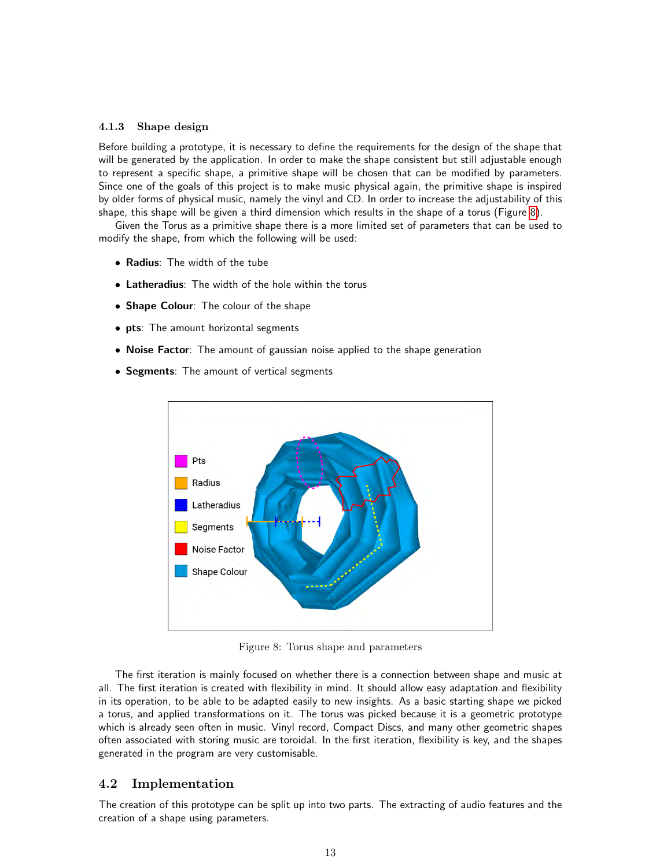#### 4.1.3 Shape design

Before building a prototype, it is necessary to define the requirements for the design of the shape that will be generated by the application. In order to make the shape consistent but still adjustable enough to represent a specific shape, a primitive shape will be chosen that can be modified by parameters. Since one of the goals of this project is to make music physical again, the primitive shape is inspired by older forms of physical music, namely the vinyl and CD. In order to increase the adjustability of this shape, this shape will be given a third dimension which results in the shape of a torus (Figure [8\)](#page-12-0).

Given the Torus as a primitive shape there is a more limited set of parameters that can be used to modify the shape, from which the following will be used:

- Radius: The width of the tube
- Latheradius: The width of the hole within the torus
- Shape Colour: The colour of the shape
- pts: The amount horizontal segments
- Noise Factor: The amount of gaussian noise applied to the shape generation
- <span id="page-12-0"></span>• Segments: The amount of vertical segments



Figure 8: Torus shape and parameters

The first iteration is mainly focused on whether there is a connection between shape and music at all. The first iteration is created with flexibility in mind. It should allow easy adaptation and flexibility in its operation, to be able to be adapted easily to new insights. As a basic starting shape we picked a torus, and applied transformations on it. The torus was picked because it is a geometric prototype which is already seen often in music. Vinyl record, Compact Discs, and many other geometric shapes often associated with storing music are toroidal. In the first iteration, flexibility is key, and the shapes generated in the program are very customisable.

### 4.2 Implementation

The creation of this prototype can be split up into two parts. The extracting of audio features and the creation of a shape using parameters.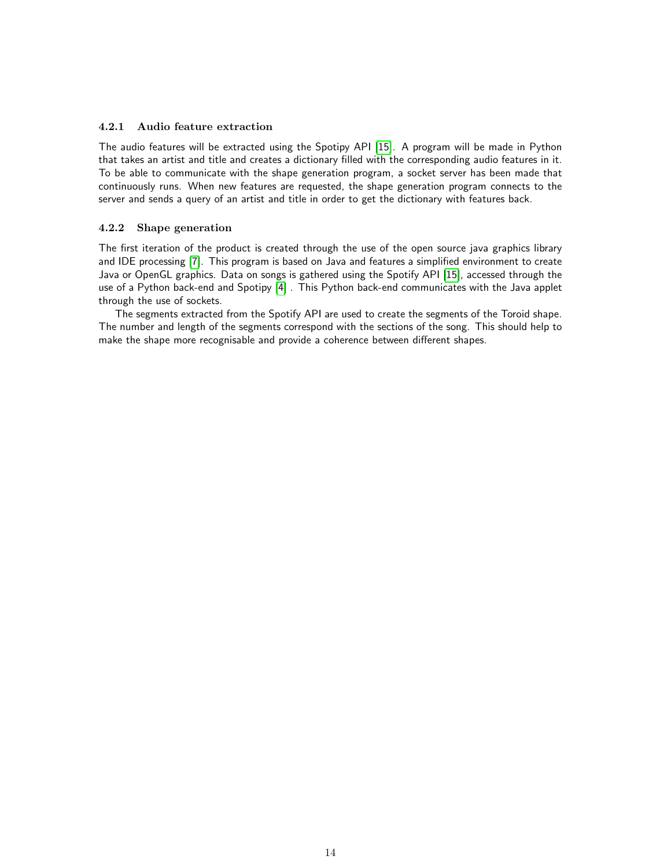### 4.2.1 Audio feature extraction

The audio features will be extracted using the Spotipy API [\[15\]](#page-29-12). A program will be made in Python that takes an artist and title and creates a dictionary filled with the corresponding audio features in it. To be able to communicate with the shape generation program, a socket server has been made that continuously runs. When new features are requested, the shape generation program connects to the server and sends a query of an artist and title in order to get the dictionary with features back.

#### 4.2.2 Shape generation

The first iteration of the product is created through the use of the open source java graphics library and IDE processing [\[7\]](#page-29-13). This program is based on Java and features a simplified environment to create Java or OpenGL graphics. Data on songs is gathered using the Spotify API [\[15\]](#page-29-12), accessed through the use of a Python back-end and Spotipy [\[4\]](#page-29-14) . This Python back-end communicates with the Java applet through the use of sockets.

The segments extracted from the Spotify API are used to create the segments of the Toroid shape. The number and length of the segments correspond with the sections of the song. This should help to make the shape more recognisable and provide a coherence between different shapes.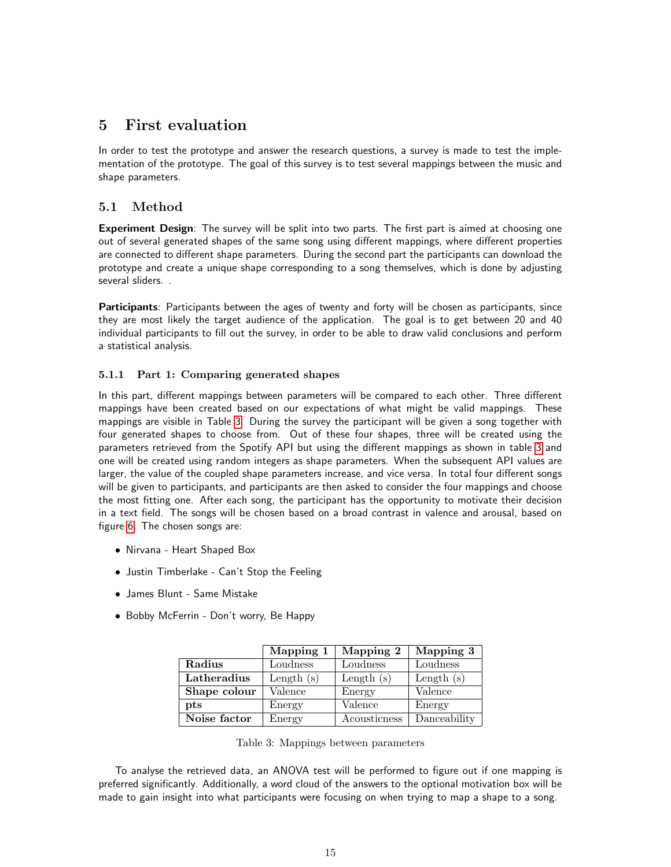# <span id="page-14-0"></span>5 First evaluation

In order to test the prototype and answer the research questions, a survey is made to test the implementation of the prototype. The goal of this survey is to test several mappings between the music and shape parameters.

# 5.1 Method

Experiment Design: The survey will be split into two parts. The first part is aimed at choosing one out of several generated shapes of the same song using different mappings, where different properties are connected to different shape parameters. During the second part the participants can download the prototype and create a unique shape corresponding to a song themselves, which is done by adjusting several sliders. .

Participants: Participants between the ages of twenty and forty will be chosen as participants, since they are most likely the target audience of the application. The goal is to get between 20 and 40 individual participants to fill out the survey, in order to be able to draw valid conclusions and perform a statistical analysis.

## 5.1.1 Part 1: Comparing generated shapes

In this part, different mappings between parameters will be compared to each other. Three different mappings have been created based on our expectations of what might be valid mappings. These mappings are visible in Table [3.](#page-14-1) During the survey the participant will be given a song together with four generated shapes to choose from. Out of these four shapes, three will be created using the parameters retrieved from the Spotify API but using the different mappings as shown in table [3](#page-14-1) and one will be created using random integers as shape parameters. When the subsequent API values are larger, the value of the coupled shape parameters increase, and vice versa. In total four different songs will be given to participants, and participants are then asked to consider the four mappings and choose the most fitting one. After each song, the participant has the opportunity to motivate their decision in a text field. The songs will be chosen based on a broad contrast in valence and arousal, based on figure [6.](#page-7-0) The chosen songs are:

- Nirvana Heart Shaped Box
- Justin Timberlake Can't Stop the Feeling
- James Blunt Same Mistake
- <span id="page-14-1"></span>• Bobby McFerrin - Don't worry, Be Happy

|              | Mapping 1    | Mapping 2    | Mapping 3    |
|--------------|--------------|--------------|--------------|
| Radius       | Loudness     | Loudness     | Loudness     |
| Latheradius  | Length $(s)$ | Length $(s)$ | Length $(s)$ |
| Shape colour | Valence      | Energy       | Valence      |
| pts          | Energy       | Valence      | Energy       |
| Noise factor | Energy       | Acousticness | Danceability |

Table 3: Mappings between parameters

To analyse the retrieved data, an ANOVA test will be performed to figure out if one mapping is preferred significantly. Additionally, a word cloud of the answers to the optional motivation box will be made to gain insight into what participants were focusing on when trying to map a shape to a song.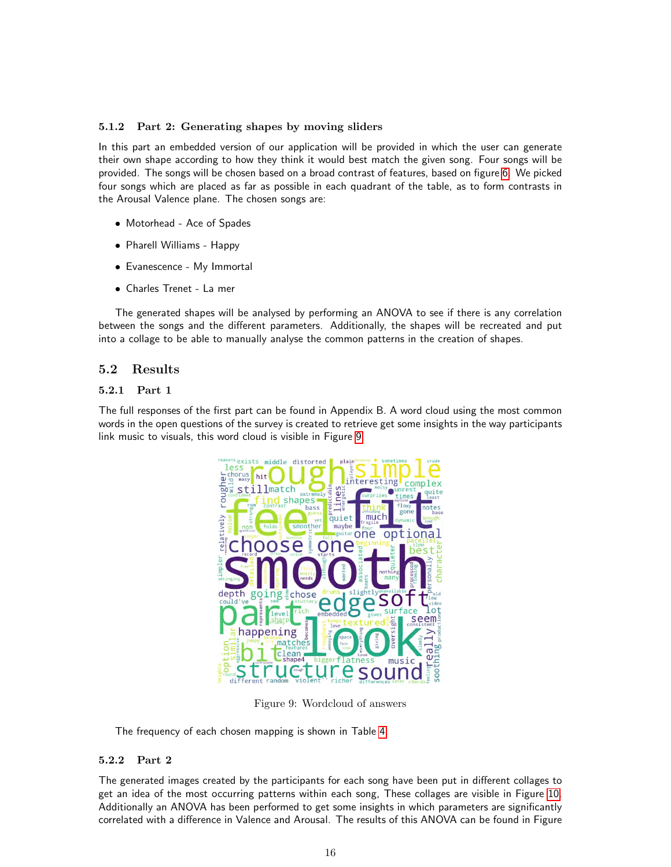### 5.1.2 Part 2: Generating shapes by moving sliders

In this part an embedded version of our application will be provided in which the user can generate their own shape according to how they think it would best match the given song. Four songs will be provided. The songs will be chosen based on a broad contrast of features, based on figure [6.](#page-7-0) We picked four songs which are placed as far as possible in each quadrant of the table, as to form contrasts in the Arousal Valence plane. The chosen songs are:

- Motorhead Ace of Spades
- Pharell Williams Happy
- Evanescence My Immortal
- Charles Trenet La mer

The generated shapes will be analysed by performing an ANOVA to see if there is any correlation between the songs and the different parameters. Additionally, the shapes will be recreated and put into a collage to be able to manually analyse the common patterns in the creation of shapes.

## 5.2 Results

## 5.2.1 Part 1

<span id="page-15-0"></span>The full responses of the first part can be found in Appendix B. A word cloud using the most common words in the open questions of the survey is created to retrieve get some insights in the way participants link music to visuals, this word cloud is visible in Figure [9.](#page-15-0)



Figure 9: Wordcloud of answers

The frequency of each chosen mapping is shown in Table [4.](#page-16-0)

## 5.2.2 Part 2

The generated images created by the participants for each song have been put in different collages to get an idea of the most occurring patterns within each song, These collages are visible in Figure [10.](#page-16-1) Additionally an ANOVA has been performed to get some insights in which parameters are significantly correlated with a difference in Valence and Arousal. The results of this ANOVA can be found in Figure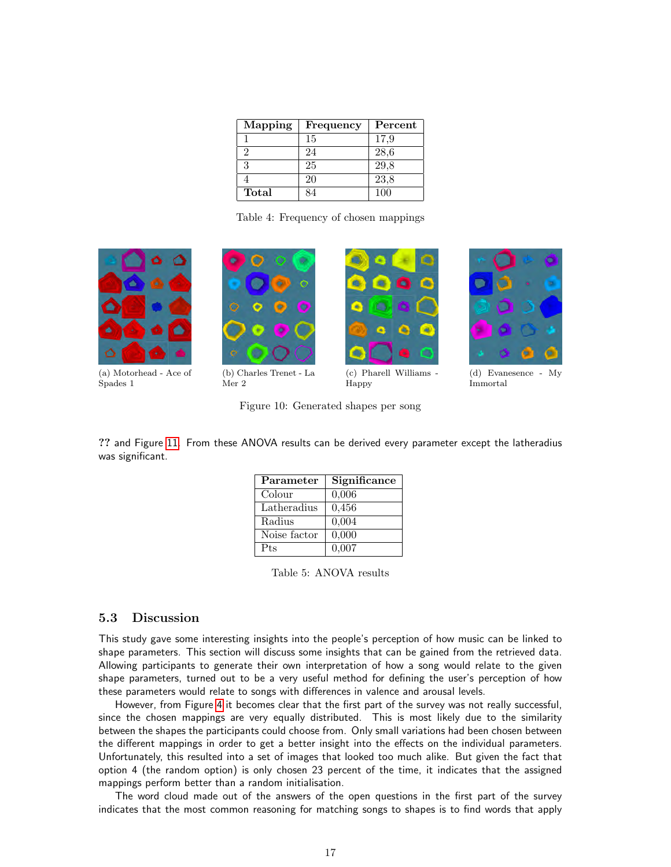| Mapping | Frequency | Percent |
|---------|-----------|---------|
|         | 15        | 17,9    |
| 2       | 24        | 28,6    |
| 3       | 25        | 29,8    |
|         | 20        | 23,8    |
| Total   | ₹Δ        | 100     |

Table 4: Frequency of chosen mappings

<span id="page-16-2"></span><span id="page-16-1"></span><span id="page-16-0"></span>

(a) Motorhead - Ace of Spades 1



(b) Charles Trenet - La Mer 2

<span id="page-16-3"></span>

Happy

<span id="page-16-4"></span>

Immortal

<span id="page-16-5"></span>Figure 10: Generated shapes per song

<span id="page-16-6"></span>?? and Figure [11.](#page-17-0) From these ANOVA results can be derived every parameter except the latheradius was significant.

| Parameter    | Significance |
|--------------|--------------|
| Colour       | 0,006        |
| Latheradius  | 0,456        |
| Radius       | 0,004        |
| Noise factor | 0,000        |
| Pts          | 0,007        |

Table 5: ANOVA results

## 5.3 Discussion

This study gave some interesting insights into the people's perception of how music can be linked to shape parameters. This section will discuss some insights that can be gained from the retrieved data. Allowing participants to generate their own interpretation of how a song would relate to the given shape parameters, turned out to be a very useful method for defining the user's perception of how these parameters would relate to songs with differences in valence and arousal levels.

However, from Figure [4](#page-16-0) it becomes clear that the first part of the survey was not really successful, since the chosen mappings are very equally distributed. This is most likely due to the similarity between the shapes the participants could choose from. Only small variations had been chosen between the different mappings in order to get a better insight into the effects on the individual parameters. Unfortunately, this resulted into a set of images that looked too much alike. But given the fact that option 4 (the random option) is only chosen 23 percent of the time, it indicates that the assigned mappings perform better than a random initialisation.

The word cloud made out of the answers of the open questions in the first part of the survey indicates that the most common reasoning for matching songs to shapes is to find words that apply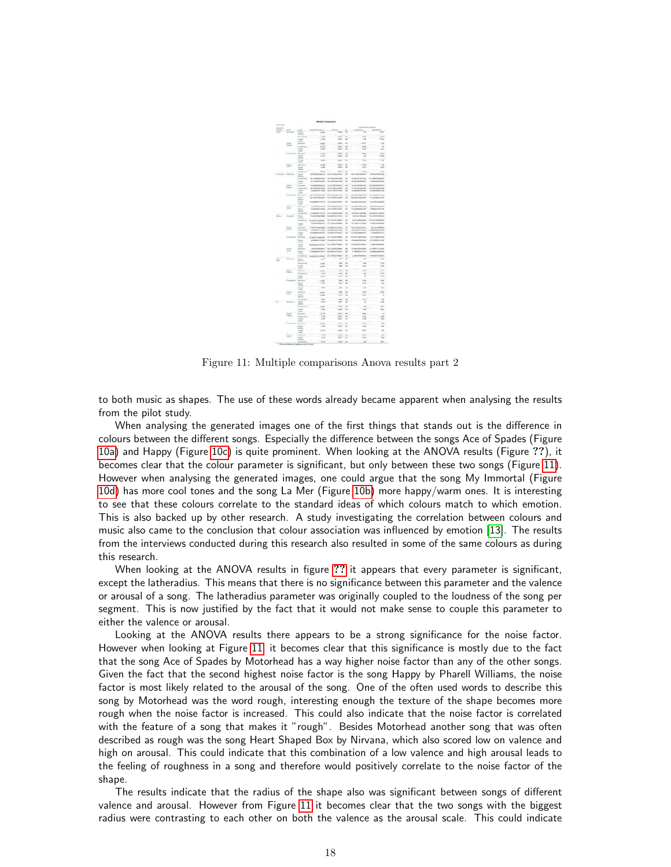<span id="page-17-0"></span>

Figure 11: Multiple comparisons Anova results part 2

to both music as shapes. The use of these words already became apparent when analysing the results from the pilot study.

When analysing the generated images one of the first things that stands out is the difference in colours between the different songs. Especially the difference between the songs Ace of Spades (Figure [10a\)](#page-16-2) and Happy (Figure [10c\)](#page-16-3) is quite prominent. When looking at the ANOVA results (Figure ??), it becomes clear that the colour parameter is significant, but only between these two songs (Figure [11\)](#page-17-0). However when analysing the generated images, one could argue that the song My Immortal (Figure [10d\)](#page-16-4) has more cool tones and the song La Mer (Figure [10b\)](#page-16-5) more happy/warm ones. It is interesting to see that these colours correlate to the standard ideas of which colours match to which emotion. This is also backed up by other research. A study investigating the correlation between colours and music also came to the conclusion that colour association was influenced by emotion [\[13\]](#page-29-15). The results from the interviews conducted during this research also resulted in some of the same colours as during this research.

When looking at the ANOVA results in figure [??](#page-16-6) it appears that every parameter is significant, except the latheradius. This means that there is no significance between this parameter and the valence or arousal of a song. The latheradius parameter was originally coupled to the loudness of the song per segment. This is now justified by the fact that it would not make sense to couple this parameter to either the valence or arousal.

Looking at the ANOVA results there appears to be a strong significance for the noise factor. However when looking at Figure [11,](#page-17-0) it becomes clear that this significance is mostly due to the fact that the song Ace of Spades by Motorhead has a way higher noise factor than any of the other songs. Given the fact that the second highest noise factor is the song Happy by Pharell Williams, the noise factor is most likely related to the arousal of the song. One of the often used words to describe this song by Motorhead was the word rough, interesting enough the texture of the shape becomes more rough when the noise factor is increased. This could also indicate that the noise factor is correlated with the feature of a song that makes it "rough". Besides Motorhead another song that was often described as rough was the song Heart Shaped Box by Nirvana, which also scored low on valence and high on arousal. This could indicate that this combination of a low valence and high arousal leads to the feeling of roughness in a song and therefore would positively correlate to the noise factor of the shape.

The results indicate that the radius of the shape also was significant between songs of different valence and arousal. However from Figure [11](#page-17-0) it becomes clear that the two songs with the biggest radius were contrasting to each other on both the valence as the arousal scale. This could indicate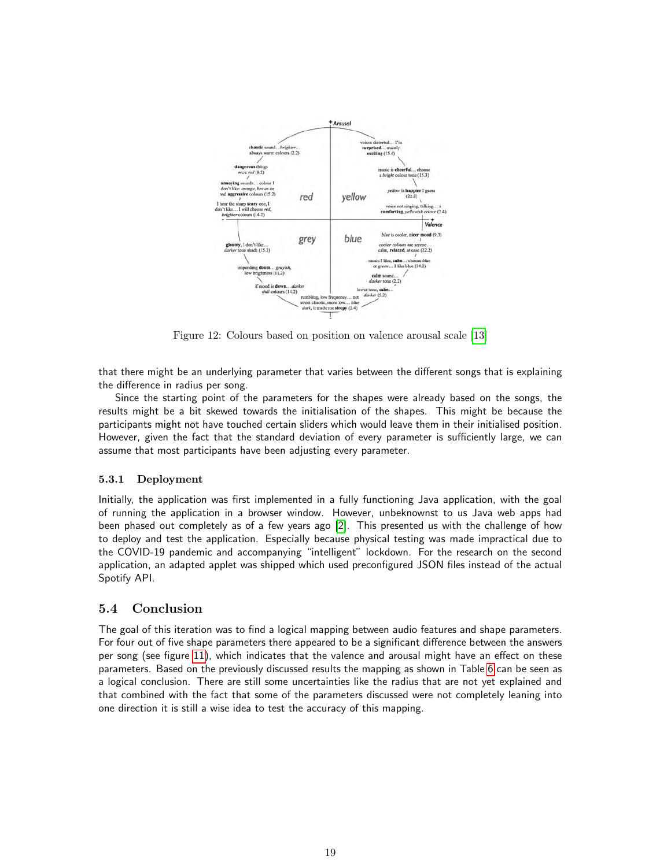

Figure 12: Colours based on position on valence arousal scale [\[13\]](#page-29-15)

that there might be an underlying parameter that varies between the different songs that is explaining the difference in radius per song.

Since the starting point of the parameters for the shapes were already based on the songs, the results might be a bit skewed towards the initialisation of the shapes. This might be because the participants might not have touched certain sliders which would leave them in their initialised position. However, given the fact that the standard deviation of every parameter is sufficiently large, we can assume that most participants have been adjusting every parameter.

### 5.3.1 Deployment

Initially, the application was first implemented in a fully functioning Java application, with the goal of running the application in a browser window. However, unbeknownst to us Java web apps had been phased out completely as of a few years ago [\[2\]](#page-29-16). This presented us with the challenge of how to deploy and test the application. Especially because physical testing was made impractical due to the COVID-19 pandemic and accompanying "intelligent" lockdown. For the research on the second application, an adapted applet was shipped which used preconfigured JSON files instead of the actual Spotify API.

## 5.4 Conclusion

The goal of this iteration was to find a logical mapping between audio features and shape parameters. For four out of five shape parameters there appeared to be a significant difference between the answers per song (see figure [11\)](#page-17-0), which indicates that the valence and arousal might have an effect on these parameters. Based on the previously discussed results the mapping as shown in Table [6](#page-19-1) can be seen as a logical conclusion. There are still some uncertainties like the radius that are not yet explained and that combined with the fact that some of the parameters discussed were not completely leaning into one direction it is still a wise idea to test the accuracy of this mapping.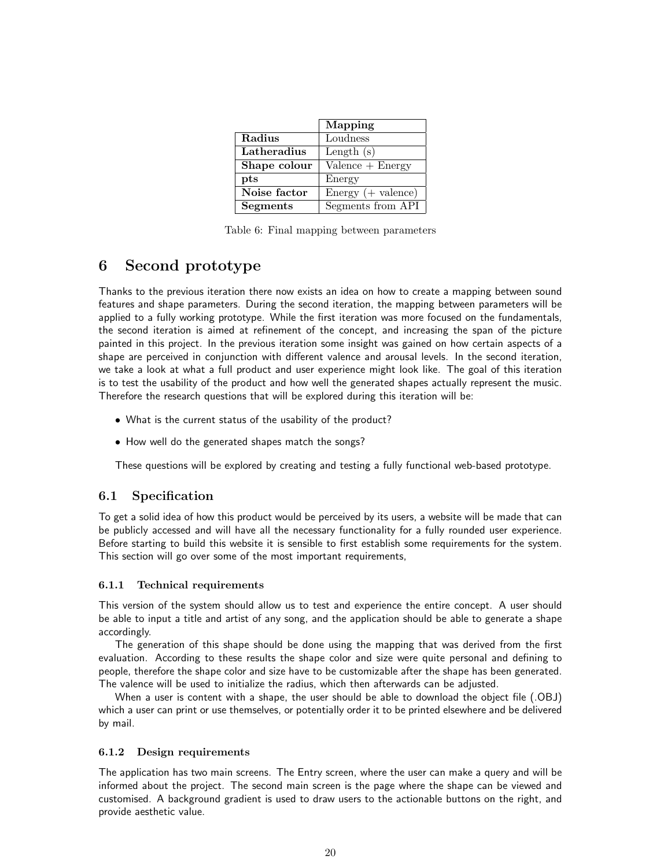<span id="page-19-1"></span>

|                 | Mapping              |
|-----------------|----------------------|
| Radius          | Loudness             |
| Latheradius     | Length $(s)$         |
| Shape colour    | $Valence + Energy$   |
| $_{\rm pts}$    | Energy               |
| Noise factor    | $Energy (+ valence)$ |
| <b>Segments</b> | Segments from API    |

Table 6: Final mapping between parameters

# <span id="page-19-0"></span>6 Second prototype

Thanks to the previous iteration there now exists an idea on how to create a mapping between sound features and shape parameters. During the second iteration, the mapping between parameters will be applied to a fully working prototype. While the first iteration was more focused on the fundamentals, the second iteration is aimed at refinement of the concept, and increasing the span of the picture painted in this project. In the previous iteration some insight was gained on how certain aspects of a shape are perceived in conjunction with different valence and arousal levels. In the second iteration, we take a look at what a full product and user experience might look like. The goal of this iteration is to test the usability of the product and how well the generated shapes actually represent the music. Therefore the research questions that will be explored during this iteration will be:

- What is the current status of the usability of the product?
- How well do the generated shapes match the songs?

These questions will be explored by creating and testing a fully functional web-based prototype.

## 6.1 Specification

To get a solid idea of how this product would be perceived by its users, a website will be made that can be publicly accessed and will have all the necessary functionality for a fully rounded user experience. Before starting to build this website it is sensible to first establish some requirements for the system. This section will go over some of the most important requirements,

#### 6.1.1 Technical requirements

This version of the system should allow us to test and experience the entire concept. A user should be able to input a title and artist of any song, and the application should be able to generate a shape accordingly.

The generation of this shape should be done using the mapping that was derived from the first evaluation. According to these results the shape color and size were quite personal and defining to people, therefore the shape color and size have to be customizable after the shape has been generated. The valence will be used to initialize the radius, which then afterwards can be adjusted.

When a user is content with a shape, the user should be able to download the object file (.OBJ) which a user can print or use themselves, or potentially order it to be printed elsewhere and be delivered by mail.

### 6.1.2 Design requirements

The application has two main screens. The Entry screen, where the user can make a query and will be informed about the project. The second main screen is the page where the shape can be viewed and customised. A background gradient is used to draw users to the actionable buttons on the right, and provide aesthetic value.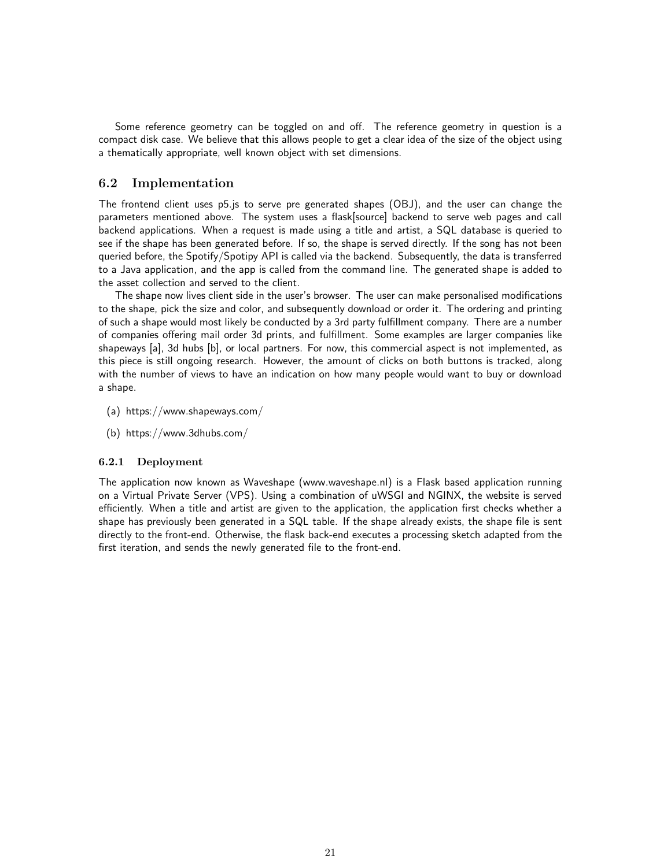Some reference geometry can be toggled on and off. The reference geometry in question is a compact disk case. We believe that this allows people to get a clear idea of the size of the object using a thematically appropriate, well known object with set dimensions.

## 6.2 Implementation

The frontend client uses p5.js to serve pre generated shapes (OBJ), and the user can change the parameters mentioned above. The system uses a flask[source] backend to serve web pages and call backend applications. When a request is made using a title and artist, a SQL database is queried to see if the shape has been generated before. If so, the shape is served directly. If the song has not been queried before, the Spotify/Spotipy API is called via the backend. Subsequently, the data is transferred to a Java application, and the app is called from the command line. The generated shape is added to the asset collection and served to the client.

The shape now lives client side in the user's browser. The user can make personalised modifications to the shape, pick the size and color, and subsequently download or order it. The ordering and printing of such a shape would most likely be conducted by a 3rd party fulfillment company. There are a number of companies offering mail order 3d prints, and fulfillment. Some examples are larger companies like shapeways [a], 3d hubs [b], or local partners. For now, this commercial aspect is not implemented, as this piece is still ongoing research. However, the amount of clicks on both buttons is tracked, along with the number of views to have an indication on how many people would want to buy or download a shape.

- (a) https://www.shapeways.com/
- (b) https://www.3dhubs.com/

#### 6.2.1 Deployment

The application now known as Waveshape (www.waveshape.nl) is a Flask based application running on a Virtual Private Server (VPS). Using a combination of uWSGI and NGINX, the website is served efficiently. When a title and artist are given to the application, the application first checks whether a shape has previously been generated in a SQL table. If the shape already exists, the shape file is sent directly to the front-end. Otherwise, the flask back-end executes a processing sketch adapted from the first iteration, and sends the newly generated file to the front-end.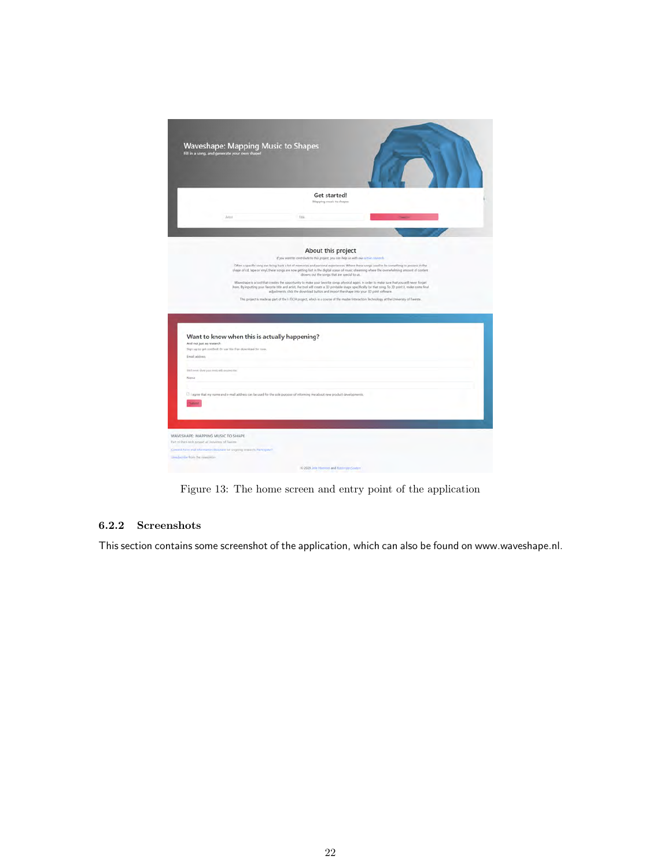|                                                     | <b>Waveshape: Mapping Music to Shapes</b><br>Fill in a song, and generate your own shape!                                    |                                                                                                                                                                                                                                                                                                            |  |  |
|-----------------------------------------------------|------------------------------------------------------------------------------------------------------------------------------|------------------------------------------------------------------------------------------------------------------------------------------------------------------------------------------------------------------------------------------------------------------------------------------------------------|--|--|
|                                                     |                                                                                                                              | Get started!<br>Mapping music to shapes                                                                                                                                                                                                                                                                    |  |  |
|                                                     | Avitat                                                                                                                       | - Title:                                                                                                                                                                                                                                                                                                   |  |  |
|                                                     |                                                                                                                              |                                                                                                                                                                                                                                                                                                            |  |  |
|                                                     |                                                                                                                              | About this project                                                                                                                                                                                                                                                                                         |  |  |
|                                                     |                                                                                                                              | If you want to contribute to this project, you can help us with our ortive research.<br>Often a specific song can bring back a lot of memories and personal experiences. Where these songs used to be something to possess in the                                                                          |  |  |
|                                                     |                                                                                                                              | shape of cd, tape or vinyl, these songs are now getting lost in the digital ocean of music streaming where the overwhelming amount of content<br>drowns out the songs that are special to us.                                                                                                              |  |  |
|                                                     |                                                                                                                              | Waveshape is a tool that creates the opportunity to make your favorite songs physical again, in order to make sure that you will never forget<br>iliam. By inputting your favorite title and artist, the tool will create a 3D printable shape specifically for that song. To 3D print it, make some final |  |  |
|                                                     |                                                                                                                              | adjustments, click the download button and import the shape into your ID print software.                                                                                                                                                                                                                   |  |  |
|                                                     |                                                                                                                              | This project is made as part of the I-TECH project, which is a course of the master Interaction Technology at the University of Twente.                                                                                                                                                                    |  |  |
|                                                     |                                                                                                                              |                                                                                                                                                                                                                                                                                                            |  |  |
|                                                     |                                                                                                                              |                                                                                                                                                                                                                                                                                                            |  |  |
|                                                     |                                                                                                                              |                                                                                                                                                                                                                                                                                                            |  |  |
|                                                     |                                                                                                                              |                                                                                                                                                                                                                                                                                                            |  |  |
| And not just as research                            | Want to know when this is actually happening?                                                                                |                                                                                                                                                                                                                                                                                                            |  |  |
|                                                     | Sign up to get notified! Or use the free download for now.                                                                   |                                                                                                                                                                                                                                                                                                            |  |  |
| Email address                                       |                                                                                                                              |                                                                                                                                                                                                                                                                                                            |  |  |
|                                                     |                                                                                                                              |                                                                                                                                                                                                                                                                                                            |  |  |
| 1003 payer show your result with impose em-<br>Name |                                                                                                                              |                                                                                                                                                                                                                                                                                                            |  |  |
|                                                     |                                                                                                                              |                                                                                                                                                                                                                                                                                                            |  |  |
|                                                     |                                                                                                                              |                                                                                                                                                                                                                                                                                                            |  |  |
|                                                     | [3] I agree that my name and e-mail address can be used for the sole purpose of informing me about new product developments. |                                                                                                                                                                                                                                                                                                            |  |  |
|                                                     |                                                                                                                              |                                                                                                                                                                                                                                                                                                            |  |  |
|                                                     |                                                                                                                              |                                                                                                                                                                                                                                                                                                            |  |  |
|                                                     |                                                                                                                              |                                                                                                                                                                                                                                                                                                            |  |  |
| WAVESHAPE: MAPPING MUSIC TO SHAPE                   |                                                                                                                              |                                                                                                                                                                                                                                                                                                            |  |  |
| Fact of the Fireh project at University of Twente   |                                                                                                                              |                                                                                                                                                                                                                                                                                                            |  |  |
| Live-Jaco the from the considerior.                 | Convent form and information discircine for originity research. Participate?                                                 |                                                                                                                                                                                                                                                                                                            |  |  |

Figure 13: The home screen and entry point of the application

## 6.2.2 Screenshots

This section contains some screenshot of the application, which can also be found on www.waveshape.nl.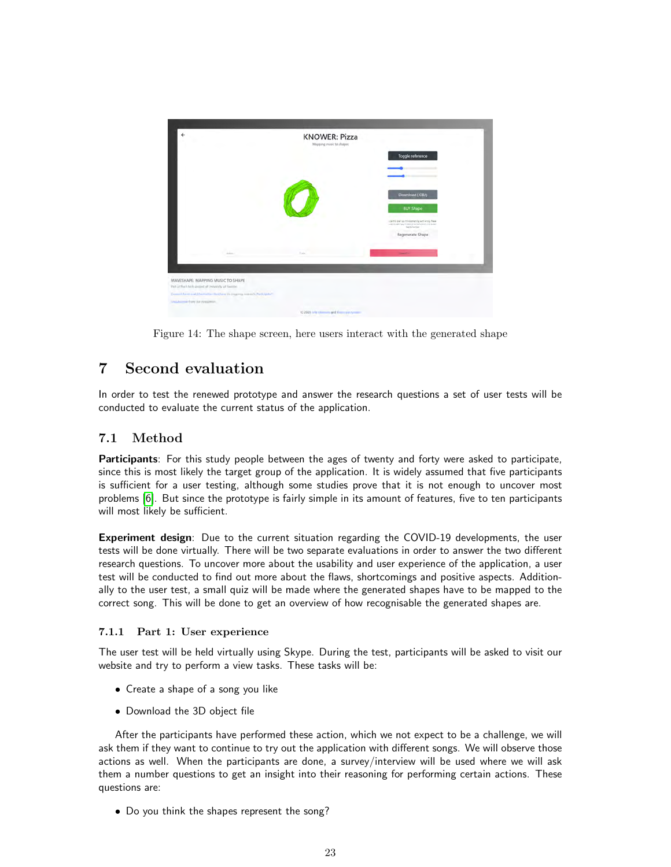

Figure 14: The shape screen, here users interact with the generated shape

# <span id="page-22-0"></span>7 Second evaluation

In order to test the renewed prototype and answer the research questions a set of user tests will be conducted to evaluate the current status of the application.

# 7.1 Method

Participants: For this study people between the ages of twenty and forty were asked to participate, since this is most likely the target group of the application. It is widely assumed that five participants is sufficient for a user testing, although some studies prove that it is not enough to uncover most problems [\[6\]](#page-29-17). But since the prototype is fairly simple in its amount of features, five to ten participants will most likely be sufficient.

Experiment design: Due to the current situation regarding the COVID-19 developments, the user tests will be done virtually. There will be two separate evaluations in order to answer the two different research questions. To uncover more about the usability and user experience of the application, a user test will be conducted to find out more about the flaws, shortcomings and positive aspects. Additionally to the user test, a small quiz will be made where the generated shapes have to be mapped to the correct song. This will be done to get an overview of how recognisable the generated shapes are.

## 7.1.1 Part 1: User experience

The user test will be held virtually using Skype. During the test, participants will be asked to visit our website and try to perform a view tasks. These tasks will be:

- Create a shape of a song you like
- Download the 3D object file

After the participants have performed these action, which we not expect to be a challenge, we will ask them if they want to continue to try out the application with different songs. We will observe those actions as well. When the participants are done, a survey/interview will be used where we will ask them a number questions to get an insight into their reasoning for performing certain actions. These questions are:

• Do you think the shapes represent the song?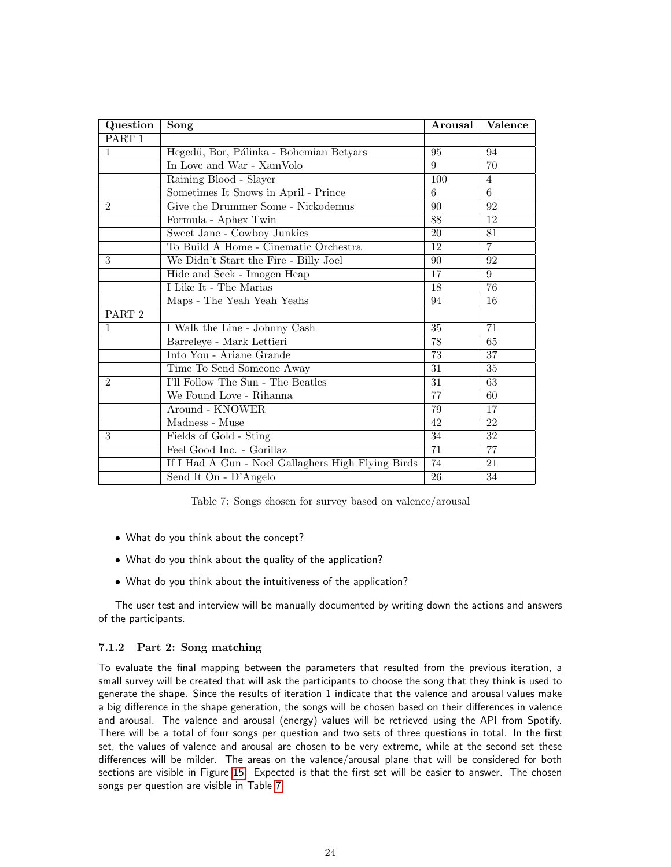<span id="page-23-0"></span>

| Question          | Song                                               | Arousal         | <b>Valence</b>  |
|-------------------|----------------------------------------------------|-----------------|-----------------|
| PART 1            |                                                    |                 |                 |
| $\mathbf{1}$      | Hegedü, Bor, Pálinka - Bohemian Betyars            | 95              | 94              |
|                   | In Love and War - XamVolo                          | 9               | 70              |
|                   | Raining Blood - Slayer                             | 100             | $\overline{4}$  |
|                   | Sometimes It Snows in April - Prince               | 6               | 6               |
| $\overline{2}$    | Give the Drummer Some - Nickodemus                 | 90              | 92              |
|                   | Formula - Aphex Twin                               | $\overline{88}$ | 12              |
|                   | Sweet Jane - Cowboy Junkies                        | $\overline{20}$ | $\overline{81}$ |
|                   | To Build A Home - Cinematic Orchestra              | 12              | $\overline{7}$  |
| 3                 | We Didn't Start the Fire - Billy Joel              | 90              | 92              |
|                   | Hide and Seek - Imogen Heap                        | 17              | 9               |
|                   | I Like It - The Marias                             | 18              | 76              |
|                   | Maps - The Yeah Yeah Yeahs                         | 94              | 16              |
| PART <sub>2</sub> |                                                    |                 |                 |
| $\mathbf{1}$      | I Walk the Line - Johnny Cash                      | 35              | 71              |
|                   | Barreleye - Mark Lettieri                          | 78              | 65              |
|                   | Into You - Ariane Grande                           | $\overline{73}$ | 37              |
|                   | Time To Send Someone Away                          | 31              | 35              |
| $\overline{2}$    | I'll Follow The Sun - The Beatles                  | 31              | 63              |
|                   | We Found Love - Rihanna                            | 77              | 60              |
|                   | Around - KNOWER                                    | 79              | 17              |
|                   | Madness - Muse                                     | 42              | 22              |
| $\overline{3}$    | Fields of Gold - Sting                             | $\overline{34}$ | $\overline{32}$ |
|                   | Feel Good Inc. - Gorillaz                          | $\overline{71}$ | $\overline{77}$ |
|                   | If I Had A Gun - Noel Gallaghers High Flying Birds | $\overline{74}$ | 21              |
|                   | Send It On - D'Angelo                              | 26              | 34              |

Table 7: Songs chosen for survey based on valence/arousal

- What do you think about the concept?
- What do you think about the quality of the application?
- What do you think about the intuitiveness of the application?

The user test and interview will be manually documented by writing down the actions and answers of the participants.

### 7.1.2 Part 2: Song matching

To evaluate the final mapping between the parameters that resulted from the previous iteration, a small survey will be created that will ask the participants to choose the song that they think is used to generate the shape. Since the results of iteration 1 indicate that the valence and arousal values make a big difference in the shape generation, the songs will be chosen based on their differences in valence and arousal. The valence and arousal (energy) values will be retrieved using the API from Spotify. There will be a total of four songs per question and two sets of three questions in total. In the first set, the values of valence and arousal are chosen to be very extreme, while at the second set these differences will be milder. The areas on the valence/arousal plane that will be considered for both sections are visible in Figure [15.](#page-24-0) Expected is that the first set will be easier to answer. The chosen songs per question are visible in Table [7.](#page-23-0)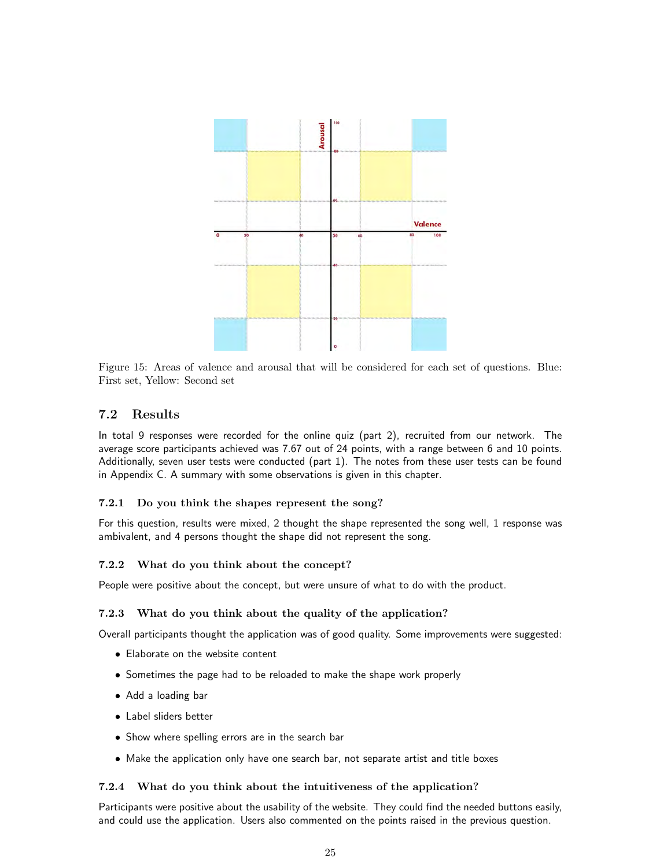<span id="page-24-0"></span>

Figure 15: Areas of valence and arousal that will be considered for each set of questions. Blue: First set, Yellow: Second set

## 7.2 Results

In total 9 responses were recorded for the online quiz (part 2), recruited from our network. The average score participants achieved was 7.67 out of 24 points, with a range between 6 and 10 points. Additionally, seven user tests were conducted (part 1). The notes from these user tests can be found in Appendix C. A summary with some observations is given in this chapter.

## 7.2.1 Do you think the shapes represent the song?

For this question, results were mixed, 2 thought the shape represented the song well, 1 response was ambivalent, and 4 persons thought the shape did not represent the song.

### 7.2.2 What do you think about the concept?

People were positive about the concept, but were unsure of what to do with the product.

### 7.2.3 What do you think about the quality of the application?

Overall participants thought the application was of good quality. Some improvements were suggested:

- Elaborate on the website content
- Sometimes the page had to be reloaded to make the shape work properly
- Add a loading bar
- Label sliders better
- Show where spelling errors are in the search bar
- Make the application only have one search bar, not separate artist and title boxes

### 7.2.4 What do you think about the intuitiveness of the application?

Participants were positive about the usability of the website. They could find the needed buttons easily, and could use the application. Users also commented on the points raised in the previous question.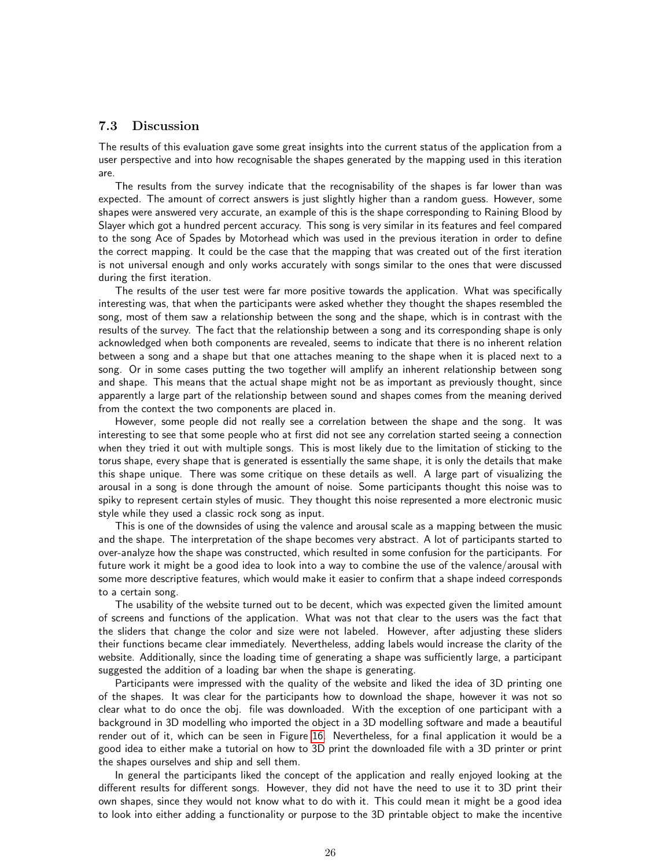## 7.3 Discussion

The results of this evaluation gave some great insights into the current status of the application from a user perspective and into how recognisable the shapes generated by the mapping used in this iteration are.

The results from the survey indicate that the recognisability of the shapes is far lower than was expected. The amount of correct answers is just slightly higher than a random guess. However, some shapes were answered very accurate, an example of this is the shape corresponding to Raining Blood by Slayer which got a hundred percent accuracy. This song is very similar in its features and feel compared to the song Ace of Spades by Motorhead which was used in the previous iteration in order to define the correct mapping. It could be the case that the mapping that was created out of the first iteration is not universal enough and only works accurately with songs similar to the ones that were discussed during the first iteration.

The results of the user test were far more positive towards the application. What was specifically interesting was, that when the participants were asked whether they thought the shapes resembled the song, most of them saw a relationship between the song and the shape, which is in contrast with the results of the survey. The fact that the relationship between a song and its corresponding shape is only acknowledged when both components are revealed, seems to indicate that there is no inherent relation between a song and a shape but that one attaches meaning to the shape when it is placed next to a song. Or in some cases putting the two together will amplify an inherent relationship between song and shape. This means that the actual shape might not be as important as previously thought, since apparently a large part of the relationship between sound and shapes comes from the meaning derived from the context the two components are placed in.

However, some people did not really see a correlation between the shape and the song. It was interesting to see that some people who at first did not see any correlation started seeing a connection when they tried it out with multiple songs. This is most likely due to the limitation of sticking to the torus shape, every shape that is generated is essentially the same shape, it is only the details that make this shape unique. There was some critique on these details as well. A large part of visualizing the arousal in a song is done through the amount of noise. Some participants thought this noise was to spiky to represent certain styles of music. They thought this noise represented a more electronic music style while they used a classic rock song as input.

This is one of the downsides of using the valence and arousal scale as a mapping between the music and the shape. The interpretation of the shape becomes very abstract. A lot of participants started to over-analyze how the shape was constructed, which resulted in some confusion for the participants. For future work it might be a good idea to look into a way to combine the use of the valence/arousal with some more descriptive features, which would make it easier to confirm that a shape indeed corresponds to a certain song.

The usability of the website turned out to be decent, which was expected given the limited amount of screens and functions of the application. What was not that clear to the users was the fact that the sliders that change the color and size were not labeled. However, after adjusting these sliders their functions became clear immediately. Nevertheless, adding labels would increase the clarity of the website. Additionally, since the loading time of generating a shape was sufficiently large, a participant suggested the addition of a loading bar when the shape is generating.

Participants were impressed with the quality of the website and liked the idea of 3D printing one of the shapes. It was clear for the participants how to download the shape, however it was not so clear what to do once the obj. file was downloaded. With the exception of one participant with a background in 3D modelling who imported the object in a 3D modelling software and made a beautiful render out of it, which can be seen in Figure [16.](#page-26-0) Nevertheless, for a final application it would be a good idea to either make a tutorial on how to 3D print the downloaded file with a 3D printer or print the shapes ourselves and ship and sell them.

In general the participants liked the concept of the application and really enjoyed looking at the different results for different songs. However, they did not have the need to use it to 3D print their own shapes, since they would not know what to do with it. This could mean it might be a good idea to look into either adding a functionality or purpose to the 3D printable object to make the incentive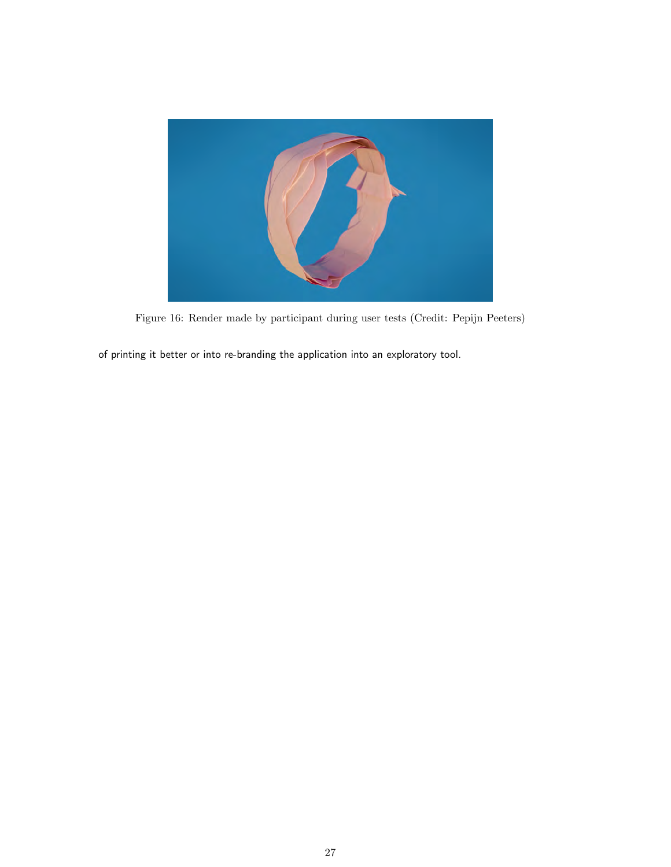<span id="page-26-0"></span>![](_page_26_Picture_0.jpeg)

Figure 16: Render made by participant during user tests (Credit: Pepijn Peeters)

of printing it better or into re-branding the application into an exploratory tool.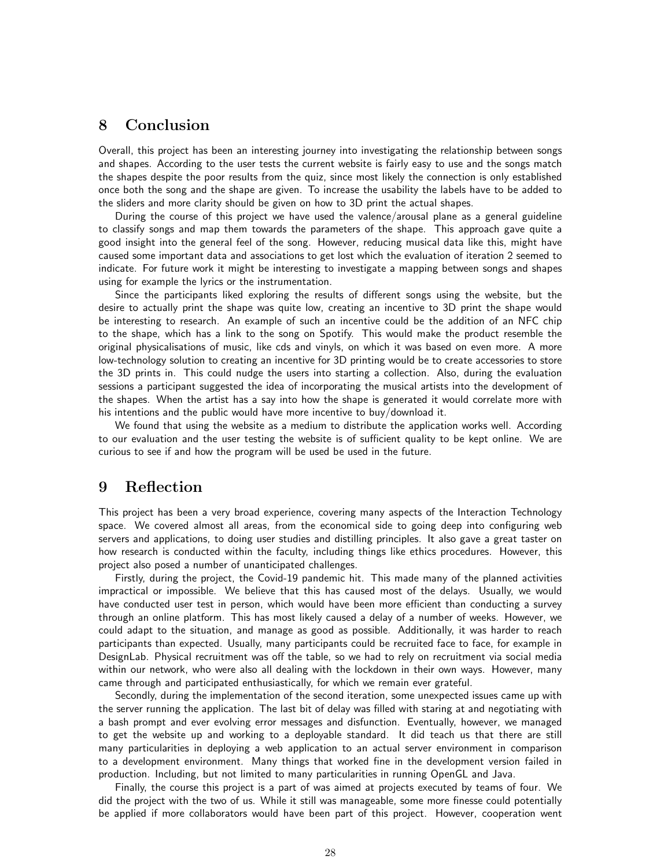# <span id="page-27-0"></span>8 Conclusion

Overall, this project has been an interesting journey into investigating the relationship between songs and shapes. According to the user tests the current website is fairly easy to use and the songs match the shapes despite the poor results from the quiz, since most likely the connection is only established once both the song and the shape are given. To increase the usability the labels have to be added to the sliders and more clarity should be given on how to 3D print the actual shapes.

During the course of this project we have used the valence/arousal plane as a general guideline to classify songs and map them towards the parameters of the shape. This approach gave quite a good insight into the general feel of the song. However, reducing musical data like this, might have caused some important data and associations to get lost which the evaluation of iteration 2 seemed to indicate. For future work it might be interesting to investigate a mapping between songs and shapes using for example the lyrics or the instrumentation.

Since the participants liked exploring the results of different songs using the website, but the desire to actually print the shape was quite low, creating an incentive to 3D print the shape would be interesting to research. An example of such an incentive could be the addition of an NFC chip to the shape, which has a link to the song on Spotify. This would make the product resemble the original physicalisations of music, like cds and vinyls, on which it was based on even more. A more low-technology solution to creating an incentive for 3D printing would be to create accessories to store the 3D prints in. This could nudge the users into starting a collection. Also, during the evaluation sessions a participant suggested the idea of incorporating the musical artists into the development of the shapes. When the artist has a say into how the shape is generated it would correlate more with his intentions and the public would have more incentive to buy/download it.

We found that using the website as a medium to distribute the application works well. According to our evaluation and the user testing the website is of sufficient quality to be kept online. We are curious to see if and how the program will be used be used in the future.

# <span id="page-27-1"></span>9 Reflection

This project has been a very broad experience, covering many aspects of the Interaction Technology space. We covered almost all areas, from the economical side to going deep into configuring web servers and applications, to doing user studies and distilling principles. It also gave a great taster on how research is conducted within the faculty, including things like ethics procedures. However, this project also posed a number of unanticipated challenges.

Firstly, during the project, the Covid-19 pandemic hit. This made many of the planned activities impractical or impossible. We believe that this has caused most of the delays. Usually, we would have conducted user test in person, which would have been more efficient than conducting a survey through an online platform. This has most likely caused a delay of a number of weeks. However, we could adapt to the situation, and manage as good as possible. Additionally, it was harder to reach participants than expected. Usually, many participants could be recruited face to face, for example in DesignLab. Physical recruitment was off the table, so we had to rely on recruitment via social media within our network, who were also all dealing with the lockdown in their own ways. However, many came through and participated enthusiastically, for which we remain ever grateful.

Secondly, during the implementation of the second iteration, some unexpected issues came up with the server running the application. The last bit of delay was filled with staring at and negotiating with a bash prompt and ever evolving error messages and disfunction. Eventually, however, we managed to get the website up and working to a deployable standard. It did teach us that there are still many particularities in deploying a web application to an actual server environment in comparison to a development environment. Many things that worked fine in the development version failed in production. Including, but not limited to many particularities in running OpenGL and Java.

Finally, the course this project is a part of was aimed at projects executed by teams of four. We did the project with the two of us. While it still was manageable, some more finesse could potentially be applied if more collaborators would have been part of this project. However, cooperation went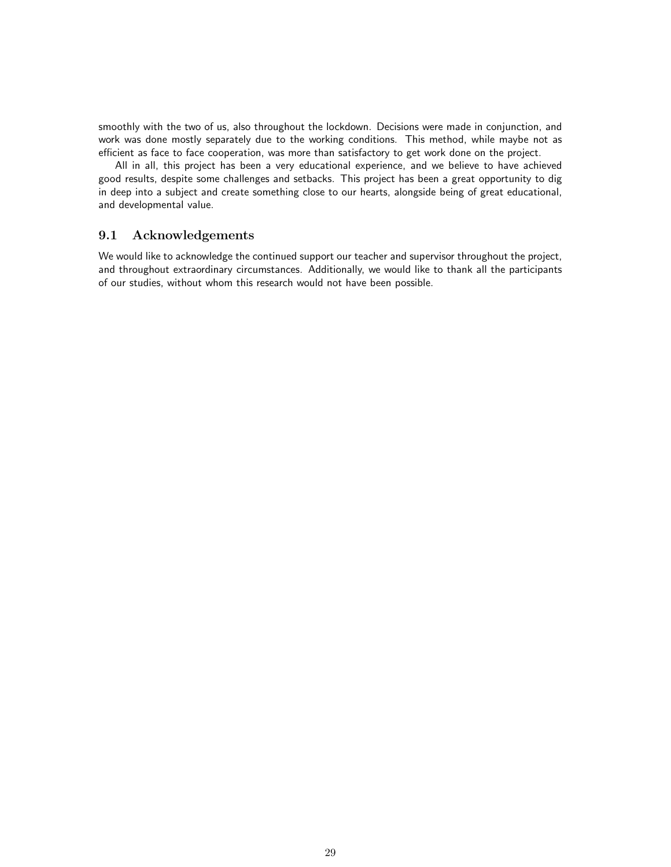smoothly with the two of us, also throughout the lockdown. Decisions were made in conjunction, and work was done mostly separately due to the working conditions. This method, while maybe not as efficient as face to face cooperation, was more than satisfactory to get work done on the project.

All in all, this project has been a very educational experience, and we believe to have achieved good results, despite some challenges and setbacks. This project has been a great opportunity to dig in deep into a subject and create something close to our hearts, alongside being of great educational, and developmental value.

## 9.1 Acknowledgements

We would like to acknowledge the continued support our teacher and supervisor throughout the project, and throughout extraordinary circumstances. Additionally, we would like to thank all the participants of our studies, without whom this research would not have been possible.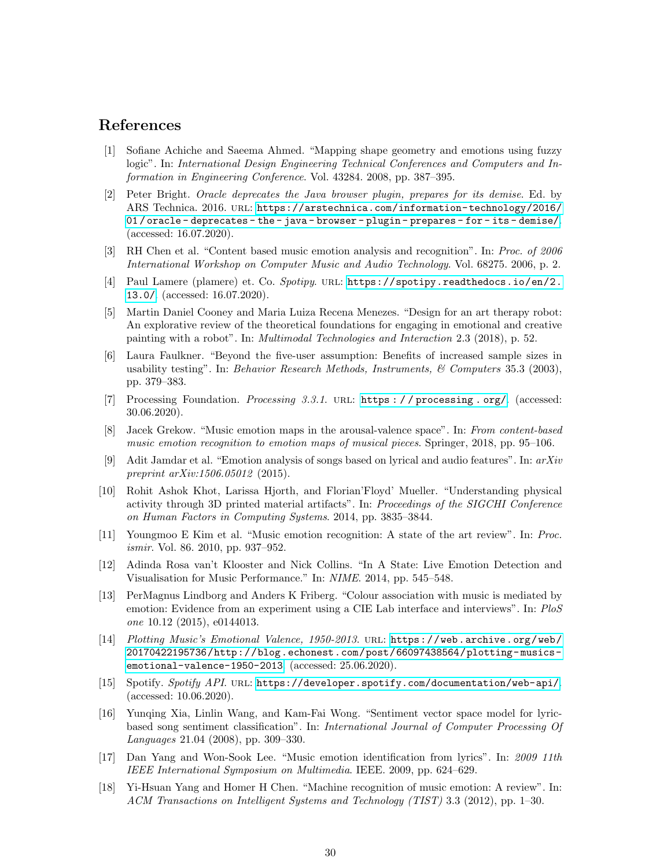# References

- <span id="page-29-10"></span>[1] Sofiane Achiche and Saeema Ahmed. "Mapping shape geometry and emotions using fuzzy logic". In: International Design Engineering Technical Conferences and Computers and Information in Engineering Conference. Vol. 43284. 2008, pp. 387–395.
- <span id="page-29-16"></span>[2] Peter Bright. Oracle deprecates the Java browser plugin, prepares for its demise. Ed. by ARS Technica. 2016. url: [https://arstechnica.com/information-technology/2016/](https://arstechnica.com/information-technology/2016/01/oracle-deprecates-the-java-browser-plugin-prepares-for-its-demise/) [01 / oracle - deprecates - the - java - browser - plugin - prepares - for - its - demise/](https://arstechnica.com/information-technology/2016/01/oracle-deprecates-the-java-browser-plugin-prepares-for-its-demise/). (accessed: 16.07.2020).
- <span id="page-29-3"></span>[3] RH Chen et al. "Content based music emotion analysis and recognition". In: Proc. of 2006 International Workshop on Computer Music and Audio Technology. Vol. 68275. 2006, p. 2.
- <span id="page-29-14"></span>[4] Paul Lamere (plamere) et. Co. Spotipy. URL: [https://spotipy.readthedocs.io/en/2.](https://spotipy.readthedocs.io/en/2.13.0/) [13.0/](https://spotipy.readthedocs.io/en/2.13.0/). (accessed: 16.07.2020).
- <span id="page-29-7"></span>[5] Martin Daniel Cooney and Maria Luiza Recena Menezes. "Design for an art therapy robot: An explorative review of the theoretical foundations for engaging in emotional and creative painting with a robot". In: Multimodal Technologies and Interaction 2.3 (2018), p. 52.
- <span id="page-29-17"></span>[6] Laura Faulkner. "Beyond the five-user assumption: Benefits of increased sample sizes in usability testing". In: Behavior Research Methods, Instruments,  $\mathscr{C}$  Computers 35.3 (2003), pp. 379–383.
- <span id="page-29-13"></span>[7] Processing Foundation. Processing 3.3.1. url: [https : / / processing . org/](https://processing.org/). (accessed: 30.06.2020).
- <span id="page-29-11"></span>[8] Jacek Grekow. "Music emotion maps in the arousal-valence space". In: From content-based music emotion recognition to emotion maps of musical pieces. Springer, 2018, pp. 95–106.
- <span id="page-29-1"></span>[9] Adit Jamdar et al. "Emotion analysis of songs based on lyrical and audio features". In: arXiv preprint  $arXiv:1506.05012$  (2015).
- <span id="page-29-9"></span>[10] Rohit Ashok Khot, Larissa Hjorth, and Florian'Floyd' Mueller. "Understanding physical activity through 3D printed material artifacts". In: Proceedings of the SIGCHI Conference on Human Factors in Computing Systems. 2014, pp. 3835–3844.
- <span id="page-29-0"></span>[11] Youngmoo E Kim et al. "Music emotion recognition: A state of the art review". In: Proc. ismir. Vol. 86. 2010, pp. 937–952.
- <span id="page-29-8"></span>[12] Adinda Rosa van't Klooster and Nick Collins. "In A State: Live Emotion Detection and Visualisation for Music Performance." In: NIME. 2014, pp. 545–548.
- <span id="page-29-15"></span>[13] PerMagnus Lindborg and Anders K Friberg. "Colour association with music is mediated by emotion: Evidence from an experiment using a CIE Lab interface and interviews". In: PloS one 10.12 (2015), e0144013.
- <span id="page-29-6"></span>[14] Plotting Music's Emotional Valence, 1950-2013. url: [https://web.archive.org/web/](https://web.archive.org/web/20170422195736/http://blog.echonest.com/post/66097438564/plotting-musics-emotional-valence-1950-2013) [20170422195736/http://blog.echonest.com/post/66097438564/plotting- musics](https://web.archive.org/web/20170422195736/http://blog.echonest.com/post/66097438564/plotting-musics-emotional-valence-1950-2013)[emotional-valence-1950-2013](https://web.archive.org/web/20170422195736/http://blog.echonest.com/post/66097438564/plotting-musics-emotional-valence-1950-2013). (accessed: 25.06.2020).
- <span id="page-29-12"></span>[15] Spotify. Spotify API. URL: <https://developer.spotify.com/documentation/web-api/>. (accessed: 10.06.2020).
- <span id="page-29-4"></span>[16] Yunqing Xia, Linlin Wang, and Kam-Fai Wong. "Sentiment vector space model for lyricbased song sentiment classification". In: International Journal of Computer Processing Of Languages 21.04 (2008), pp. 309–330.
- <span id="page-29-2"></span>[17] Dan Yang and Won-Sook Lee. "Music emotion identification from lyrics". In: 2009 11th IEEE International Symposium on Multimedia. IEEE. 2009, pp. 624–629.
- <span id="page-29-5"></span>[18] Yi-Hsuan Yang and Homer H Chen. "Machine recognition of music emotion: A review". In: ACM Transactions on Intelligent Systems and Technology (TIST) 3.3 (2012), pp. 1–30.